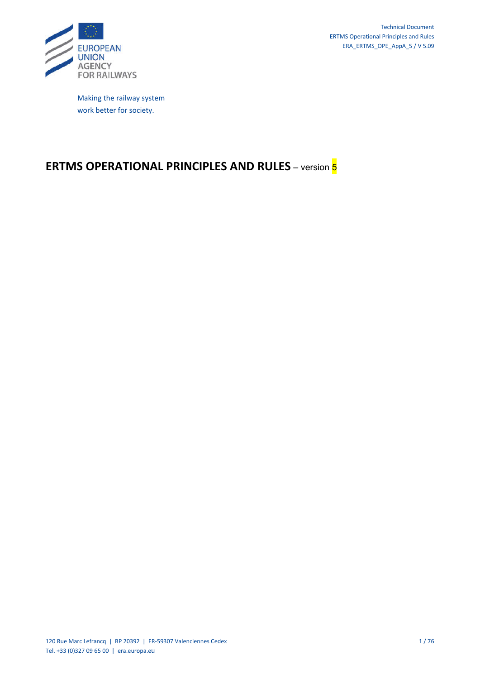

Making the railway system work better for society.

# **ERTMS OPERATIONAL PRINCIPLES AND RULES** – version 5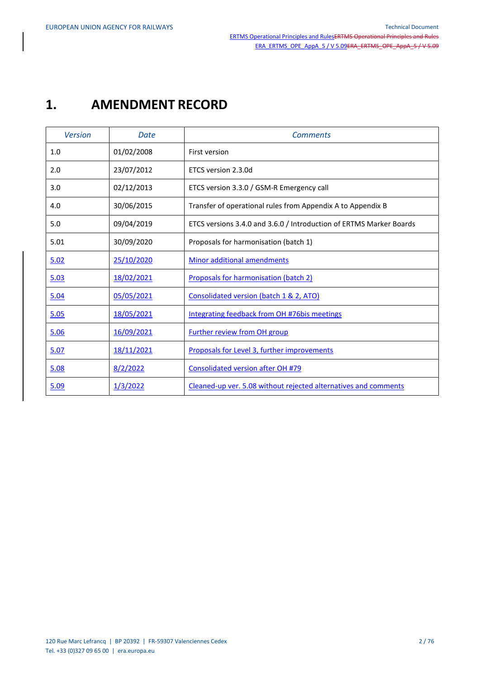# **1. AMENDMENT RECORD**

| <b>Version</b> | Date       | <b>Comments</b>                                                     |
|----------------|------------|---------------------------------------------------------------------|
| 1.0            | 01/02/2008 | First version                                                       |
| 2.0            | 23/07/2012 | ETCS version 2.3.0d                                                 |
| 3.0            | 02/12/2013 | ETCS version 3.3.0 / GSM-R Emergency call                           |
| 4.0            | 30/06/2015 | Transfer of operational rules from Appendix A to Appendix B         |
| 5.0            | 09/04/2019 | ETCS versions 3.4.0 and 3.6.0 / Introduction of ERTMS Marker Boards |
| 5.01           | 30/09/2020 | Proposals for harmonisation (batch 1)                               |
| 5.02           | 25/10/2020 | <b>Minor additional amendments</b>                                  |
| 5.03           | 18/02/2021 | <b>Proposals for harmonisation (batch 2)</b>                        |
| 5.04           | 05/05/2021 | Consolidated version (batch 1 & 2, ATO)                             |
| 5.05           | 18/05/2021 | Integrating feedback from OH #76bis meetings                        |
| 5.06           | 16/09/2021 | <b>Further review from OH group</b>                                 |
| 5.07           | 18/11/2021 | Proposals for Level 3, further improvements                         |
| 5.08           | 8/2/2022   | <b>Consolidated version after OH #79</b>                            |
| 5.09           | 1/3/2022   | Cleaned-up ver. 5.08 without rejected alternatives and comments     |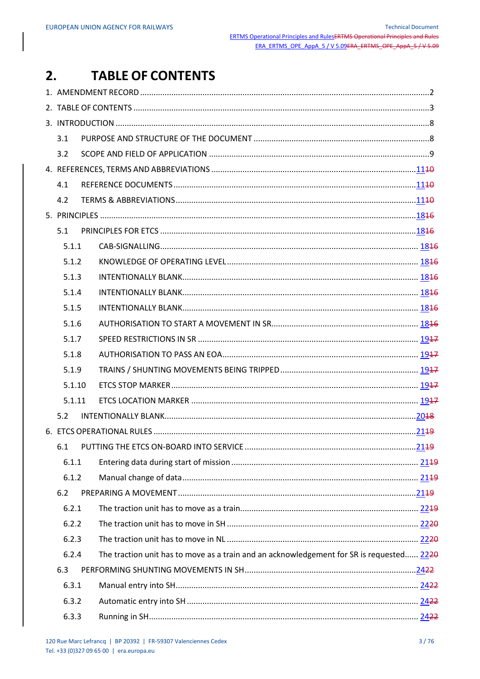#### **TABLE OF CONTENTS**  $2.$

| 3.1    |                                                                                          |  |
|--------|------------------------------------------------------------------------------------------|--|
| 3.2    |                                                                                          |  |
|        |                                                                                          |  |
| 4.1    |                                                                                          |  |
| 4.2    |                                                                                          |  |
|        |                                                                                          |  |
| 5.1    |                                                                                          |  |
| 5.1.1  |                                                                                          |  |
| 5.1.2  |                                                                                          |  |
| 5.1.3  |                                                                                          |  |
| 5.1.4  |                                                                                          |  |
| 5.1.5  |                                                                                          |  |
| 5.1.6  |                                                                                          |  |
| 5.1.7  |                                                                                          |  |
| 5.1.8  |                                                                                          |  |
| 5.1.9  |                                                                                          |  |
| 5.1.10 |                                                                                          |  |
| 5.1.11 |                                                                                          |  |
| 5.2    |                                                                                          |  |
|        |                                                                                          |  |
|        |                                                                                          |  |
| 6.1.1  |                                                                                          |  |
| 6.1.2  |                                                                                          |  |
| 6.2    |                                                                                          |  |
| 6.2.1  |                                                                                          |  |
| 6.2.2  |                                                                                          |  |
| 6.2.3  |                                                                                          |  |
| 6.2.4  | The traction unit has to move as a train and an acknowledgement for SR is requested 2220 |  |
| 6.3    |                                                                                          |  |
| 6.3.1  |                                                                                          |  |
| 6.3.2  |                                                                                          |  |
| 6.3.3  |                                                                                          |  |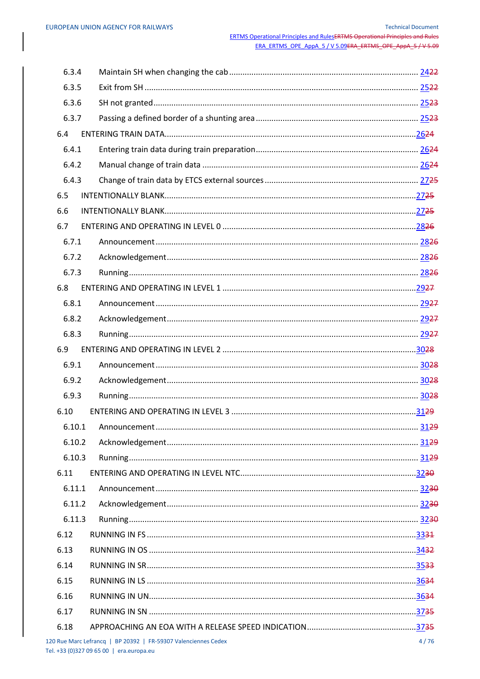| 6.3.4  |                                                                |      |
|--------|----------------------------------------------------------------|------|
| 6.3.5  |                                                                |      |
| 6.3.6  |                                                                |      |
| 6.3.7  |                                                                |      |
| 6.4    |                                                                |      |
| 6.4.1  |                                                                |      |
| 6.4.2  |                                                                |      |
| 6.4.3  |                                                                |      |
| 6.5    |                                                                |      |
| 6.6    |                                                                |      |
| 6.7    |                                                                |      |
| 6.7.1  |                                                                |      |
| 6.7.2  |                                                                |      |
| 6.7.3  |                                                                |      |
| 6.8    |                                                                |      |
| 6.8.1  |                                                                |      |
| 6.8.2  |                                                                |      |
| 6.8.3  |                                                                |      |
| 6.9    |                                                                |      |
| 6.9.1  |                                                                |      |
| 6.9.2  |                                                                |      |
| 6.9.3  |                                                                |      |
| 6.10   |                                                                |      |
|        |                                                                |      |
| 6.10.2 |                                                                |      |
| 6.10.3 |                                                                |      |
| 6.11   |                                                                |      |
| 6.11.1 |                                                                |      |
| 6.11.2 |                                                                |      |
| 6.11.3 |                                                                |      |
| 6.12   |                                                                |      |
| 6.13   |                                                                |      |
| 6.14   |                                                                |      |
| 6.15   |                                                                |      |
| 6.16   |                                                                |      |
| 6.17   |                                                                |      |
| 6.18   |                                                                |      |
|        | 120 Rue Marc Lefrancq   BP 20392   FR-59307 Valenciennes Cedex | 4/76 |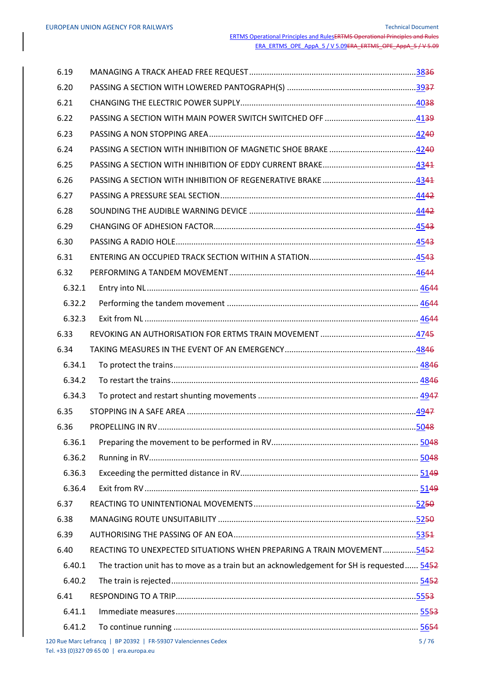| 6.19   |                                                                                          |      |
|--------|------------------------------------------------------------------------------------------|------|
| 6.20   |                                                                                          |      |
| 6.21   |                                                                                          |      |
| 6.22   |                                                                                          |      |
| 6.23   |                                                                                          |      |
| 6.24   |                                                                                          |      |
| 6.25   |                                                                                          |      |
| 6.26   |                                                                                          |      |
| 6.27   |                                                                                          |      |
| 6.28   |                                                                                          |      |
| 6.29   |                                                                                          |      |
| 6.30   |                                                                                          |      |
| 6.31   |                                                                                          |      |
| 6.32   |                                                                                          |      |
| 6.32.1 |                                                                                          |      |
| 6.32.2 |                                                                                          |      |
| 6.32.3 |                                                                                          |      |
| 6.33   |                                                                                          |      |
| 6.34   |                                                                                          |      |
| 6.34.1 |                                                                                          |      |
| 6.34.2 |                                                                                          |      |
| 6.34.3 |                                                                                          |      |
| 6.35   |                                                                                          |      |
|        |                                                                                          |      |
| 6.36.1 |                                                                                          |      |
| 6.36.2 |                                                                                          |      |
| 6.36.3 |                                                                                          |      |
| 6.36.4 |                                                                                          |      |
| 6.37   |                                                                                          |      |
| 6.38   |                                                                                          |      |
| 6.39   |                                                                                          |      |
| 6.40   | REACTING TO UNEXPECTED SITUATIONS WHEN PREPARING A TRAIN MOVEMENT5452                    |      |
| 6.40.1 | The traction unit has to move as a train but an acknowledgement for SH is requested 5452 |      |
| 6.40.2 |                                                                                          |      |
| 6.41   |                                                                                          |      |
| 6.41.1 |                                                                                          |      |
| 6.41.2 |                                                                                          |      |
|        | 120 Rue Marc Lefrancq   BP 20392   FR-59307 Valenciennes Cedex                           | 5/76 |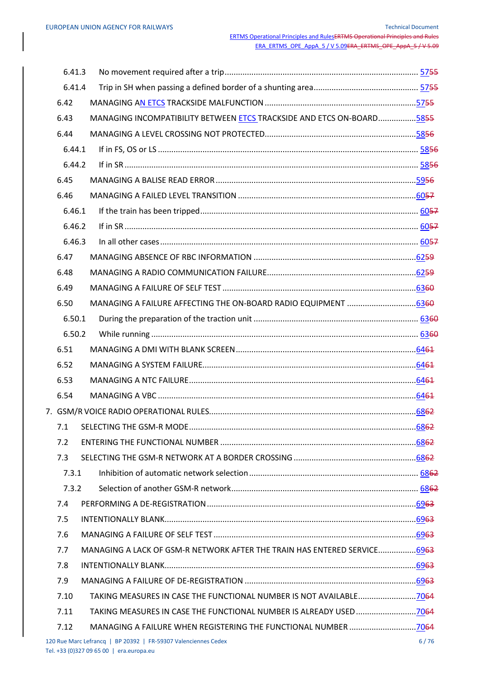| 6.41.3 |                                                                          |      |
|--------|--------------------------------------------------------------------------|------|
| 6.41.4 |                                                                          |      |
| 6.42   |                                                                          |      |
| 6.43   | MANAGING INCOMPATIBILITY BETWEEN ETCS TRACKSIDE AND ETCS ON-BOARD5855    |      |
| 6.44   |                                                                          |      |
| 6.44.1 |                                                                          |      |
| 6.44.2 |                                                                          |      |
| 6.45   |                                                                          |      |
| 6.46   |                                                                          |      |
| 6.46.1 |                                                                          |      |
| 6.46.2 |                                                                          |      |
| 6.46.3 |                                                                          |      |
| 6.47   |                                                                          |      |
| 6.48   |                                                                          |      |
| 6.49   |                                                                          |      |
| 6.50   | MANAGING A FAILURE AFFECTING THE ON-BOARD RADIO EQUIPMENT 6369           |      |
| 6.50.1 |                                                                          |      |
| 6.50.2 |                                                                          |      |
| 6.51   |                                                                          |      |
| 6.52   |                                                                          |      |
| 6.53   |                                                                          |      |
| 6.54   |                                                                          |      |
|        |                                                                          |      |
|        |                                                                          |      |
| 7.2    |                                                                          |      |
| 7.3    |                                                                          |      |
| 7.3.1  |                                                                          |      |
| 7.3.2  |                                                                          |      |
| 7.4    |                                                                          |      |
| 7.5    |                                                                          |      |
| 7.6    |                                                                          |      |
| 7.7    | MANAGING A LACK OF GSM-R NETWORK AFTER THE TRAIN HAS ENTERED SERVICE6963 |      |
| 7.8    |                                                                          |      |
| 7.9    |                                                                          |      |
| 7.10   | TAKING MEASURES IN CASE THE FUNCTIONAL NUMBER IS NOT AVAILABLE7064       |      |
| 7.11   |                                                                          |      |
| 7.12   |                                                                          |      |
|        | 120 Rue Marc Lefrancq   BP 20392   FR-59307 Valenciennes Cedex           | 6/76 |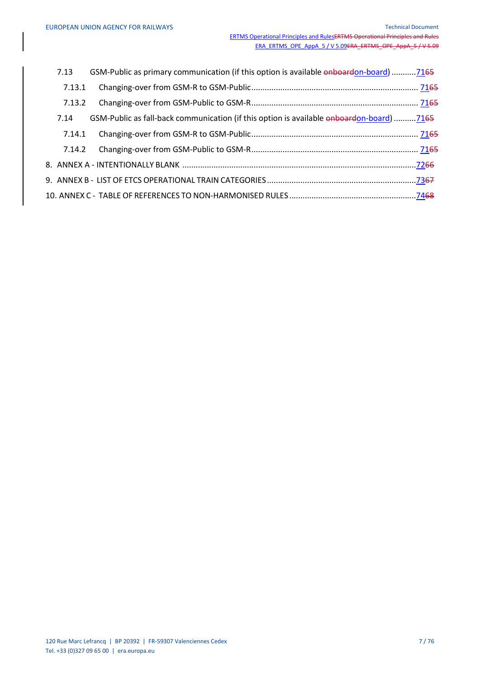| 7.13   | GSM-Public as primary communication (if this option is available onboardon-board)7165    |  |
|--------|------------------------------------------------------------------------------------------|--|
| 7.13.1 |                                                                                          |  |
| 7.13.2 |                                                                                          |  |
| 7.14   | GSM-Public as fall-back communication (if this option is available onboardon-board) 7165 |  |
| 7.14.1 |                                                                                          |  |
| 7.14.2 |                                                                                          |  |
|        | 8. ANNEX A - INTENTIONALLY BLANK ……………………………………………………………………………………………72 <del>66</del>     |  |
|        |                                                                                          |  |
|        |                                                                                          |  |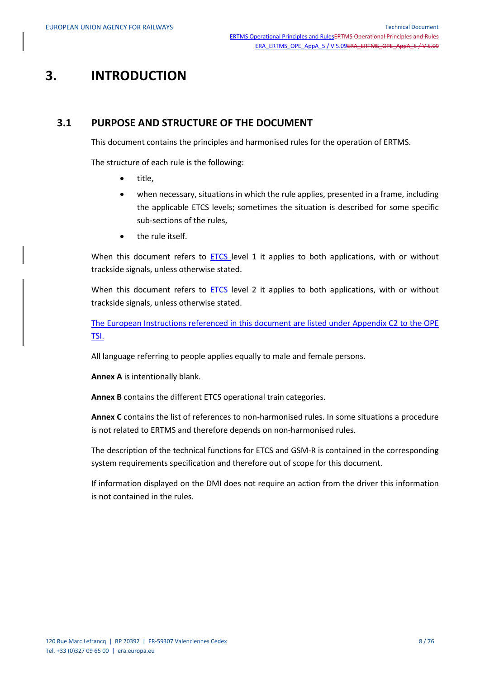# **3. INTRODUCTION**

## **3.1 PURPOSE AND STRUCTURE OF THE DOCUMENT**

This document contains the principles and harmonised rules for the operation of ERTMS.

The structure of each rule is the following:

- title,
- when necessary, situations in which the rule applies, presented in a frame, including the applicable ETCS levels; sometimes the situation is described for some specific sub-sections of the rules,
- the rule itself.

When this document refers to  $ETCS$  level 1 it applies to both applications, with or without trackside signals, unless otherwise stated.

When this document refers to **ETCS** level 2 it applies to both applications, with or without trackside signals, unless otherwise stated.

The European Instructions referenced in this document are listed under Appendix C2 to the OPE TSI.

All language referring to people applies equally to male and female persons.

**Annex A** is intentionally blank.

**Annex B** contains the different ETCS operational train categories.

**Annex C** contains the list of references to non-harmonised rules. In some situations a procedure is not related to ERTMS and therefore depends on non-harmonised rules.

The description of the technical functions for ETCS and GSM-R is contained in the corresponding system requirements specification and therefore out of scope for this document.

If information displayed on the DMI does not require an action from the driver this information is not contained in the rules.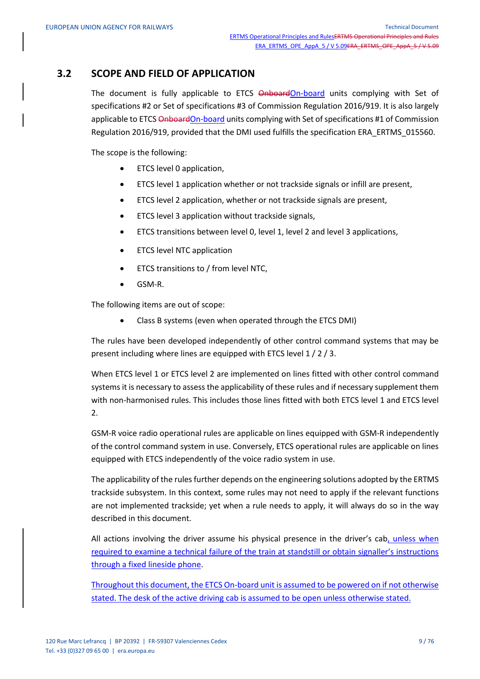# **3.2 SCOPE AND FIELD OF APPLICATION**

The document is fully applicable to ETCS OnboardOn-board units complying with Set of specifications #2 or Set of specifications #3 of Commission Regulation 2016/919. It is also largely applicable to ETCS OnboardOn-board units complying with Set of specifications #1 of Commission Regulation 2016/919, provided that the DMI used fulfills the specification ERA\_ERTMS\_015560.

The scope is the following:

- ETCS level 0 application,
- ETCS level 1 application whether or not trackside signals or infill are present,
- ETCS level 2 application, whether or not trackside signals are present,
- ETCS level 3 application without trackside signals,
- ETCS transitions between level 0, level 1, level 2 and level 3 applications,
- **•** ETCS level NTC application
- ETCS transitions to / from level NTC,
- GSM-R.

The following items are out of scope:

Class B systems (even when operated through the ETCS DMI)

The rules have been developed independently of other control command systems that may be present including where lines are equipped with ETCS level 1 / 2 / 3.

When ETCS level 1 or ETCS level 2 are implemented on lines fitted with other control command systems it is necessary to assess the applicability of these rules and if necessary supplement them with non-harmonised rules. This includes those lines fitted with both ETCS level 1 and ETCS level 2.

GSM-R voice radio operational rules are applicable on lines equipped with GSM-R independently of the control command system in use. Conversely, ETCS operational rules are applicable on lines equipped with ETCS independently of the voice radio system in use.

The applicability of the rules further depends on the engineering solutions adopted by the ERTMS trackside subsystem. In this context, some rules may not need to apply if the relevant functions are not implemented trackside; yet when a rule needs to apply, it will always do so in the way described in this document.

All actions involving the driver assume his physical presence in the driver's cab, unless when required to examine a technical failure of the train at standstill or obtain signaller's instructions through a fixed lineside phone.

Throughout this document, the ETCS On-board unit is assumed to be powered on if not otherwise stated. The desk of the active driving cab is assumed to be open unless otherwise stated.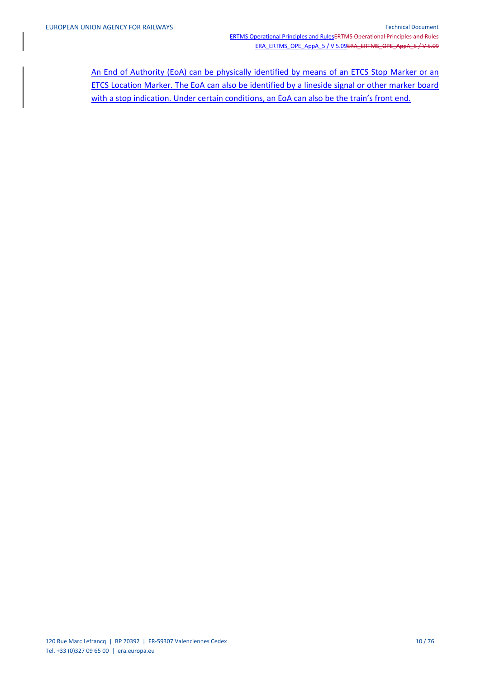An End of Authority (EoA) can be physically identified by means of an ETCS Stop Marker or an ETCS Location Marker. The EoA can also be identified by a lineside signal or other marker board with a stop indication. Under certain conditions, an EoA can also be the train's front end.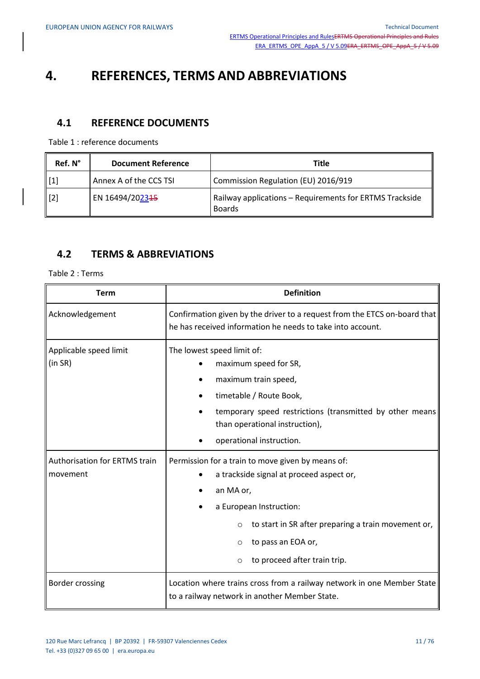# **4. REFERENCES, TERMS AND ABBREVIATIONS**

# **4.1 REFERENCE DOCUMENTS**

Table 1 : reference documents

| Ref. N°     | <b>Document Reference</b> | <b>Title</b>                                                             |
|-------------|---------------------------|--------------------------------------------------------------------------|
| [1]         | Annex A of the CCS TSI    | Commission Regulation (EU) 2016/919                                      |
| $\vert$ [2] | EN 16494/202315           | Railway applications - Requirements for ERTMS Trackside<br><b>Boards</b> |

# **4.2 TERMS & ABBREVIATIONS**

| <b>Term</b>                                      | <b>Definition</b>                                                                                                                                                                                                                                                       |
|--------------------------------------------------|-------------------------------------------------------------------------------------------------------------------------------------------------------------------------------------------------------------------------------------------------------------------------|
| Acknowledgement                                  | Confirmation given by the driver to a request from the ETCS on-board that<br>he has received information he needs to take into account.                                                                                                                                 |
| Applicable speed limit<br>(in SR)                | The lowest speed limit of:<br>maximum speed for SR,<br>maximum train speed,<br>timetable / Route Book,<br>temporary speed restrictions (transmitted by other means<br>than operational instruction),<br>operational instruction.                                        |
| <b>Authorisation for ERTMS train</b><br>movement | Permission for a train to move given by means of:<br>a trackside signal at proceed aspect or,<br>an MA or,<br>a European Instruction:<br>to start in SR after preparing a train movement or,<br>$\circ$<br>to pass an EOA or,<br>O<br>to proceed after train trip.<br>O |
| Border crossing                                  | Location where trains cross from a railway network in one Member State<br>to a railway network in another Member State.                                                                                                                                                 |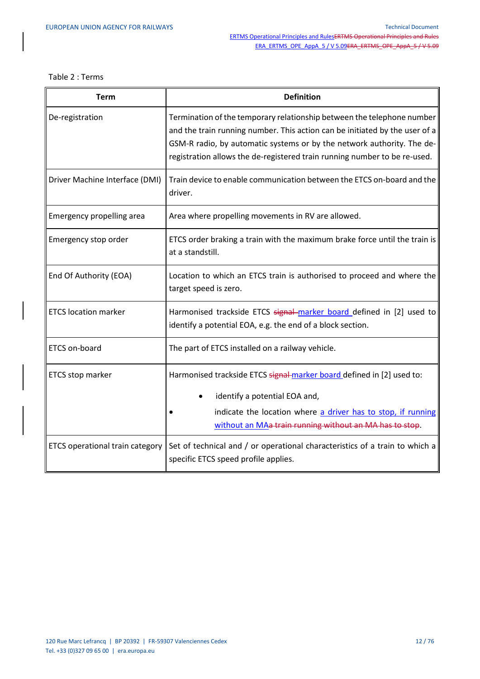| <b>Term</b>                     | <b>Definition</b>                                                                                                                                                                                                                                                                                            |
|---------------------------------|--------------------------------------------------------------------------------------------------------------------------------------------------------------------------------------------------------------------------------------------------------------------------------------------------------------|
| De-registration                 | Termination of the temporary relationship between the telephone number<br>and the train running number. This action can be initiated by the user of a<br>GSM-R radio, by automatic systems or by the network authority. The de-<br>registration allows the de-registered train running number to be re-used. |
| Driver Machine Interface (DMI)  | Train device to enable communication between the ETCS on-board and the<br>driver.                                                                                                                                                                                                                            |
| Emergency propelling area       | Area where propelling movements in RV are allowed.                                                                                                                                                                                                                                                           |
| Emergency stop order            | ETCS order braking a train with the maximum brake force until the train is<br>at a standstill.                                                                                                                                                                                                               |
| End Of Authority (EOA)          | Location to which an ETCS train is authorised to proceed and where the<br>target speed is zero.                                                                                                                                                                                                              |
| <b>ETCS location marker</b>     | Harmonised trackside ETCS signal-marker board defined in [2] used to<br>identify a potential EOA, e.g. the end of a block section.                                                                                                                                                                           |
| ETCS on-board                   | The part of ETCS installed on a railway vehicle.                                                                                                                                                                                                                                                             |
| ETCS stop marker                | Harmonised trackside ETCS signal marker board defined in [2] used to:<br>identify a potential EOA and,<br>indicate the location where a driver has to stop, if running<br>without an MAa train running without an MA has to stop.                                                                            |
| ETCS operational train category | Set of technical and / or operational characteristics of a train to which a<br>specific ETCS speed profile applies.                                                                                                                                                                                          |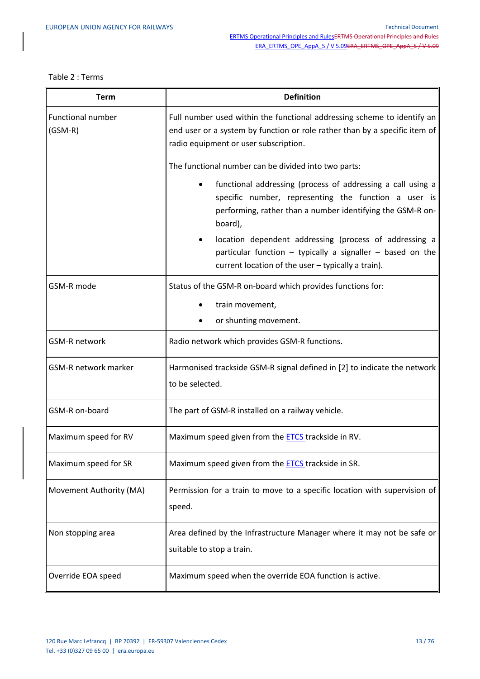| <b>Term</b>                           | <b>Definition</b>                                                                                                                                                                              |
|---------------------------------------|------------------------------------------------------------------------------------------------------------------------------------------------------------------------------------------------|
| <b>Functional number</b><br>$(GSM-R)$ | Full number used within the functional addressing scheme to identify an<br>end user or a system by function or role rather than by a specific item of<br>radio equipment or user subscription. |
|                                       | The functional number can be divided into two parts:                                                                                                                                           |
|                                       | functional addressing (process of addressing a call using a<br>specific number, representing the function a user is<br>performing, rather than a number identifying the GSM-R on-<br>board),   |
|                                       | location dependent addressing (process of addressing a<br>particular function - typically a signaller - based on the<br>current location of the user - typically a train).                     |
| GSM-R mode                            | Status of the GSM-R on-board which provides functions for:                                                                                                                                     |
|                                       | train movement,                                                                                                                                                                                |
|                                       | or shunting movement.                                                                                                                                                                          |
| <b>GSM-R network</b>                  | Radio network which provides GSM-R functions.                                                                                                                                                  |
| <b>GSM-R network marker</b>           | Harmonised trackside GSM-R signal defined in [2] to indicate the network<br>to be selected.                                                                                                    |
| GSM-R on-board                        | The part of GSM-R installed on a railway vehicle.                                                                                                                                              |
| Maximum speed for RV                  | Maximum speed given from the <b>ETCS</b> trackside in RV.                                                                                                                                      |
| Maximum speed for SR                  | Maximum speed given from the <b>ETCS</b> trackside in SR.                                                                                                                                      |
| Movement Authority (MA)               | Permission for a train to move to a specific location with supervision of<br>speed.                                                                                                            |
| Non stopping area                     | Area defined by the Infrastructure Manager where it may not be safe or<br>suitable to stop a train.                                                                                            |
| Override EOA speed                    | Maximum speed when the override EOA function is active.                                                                                                                                        |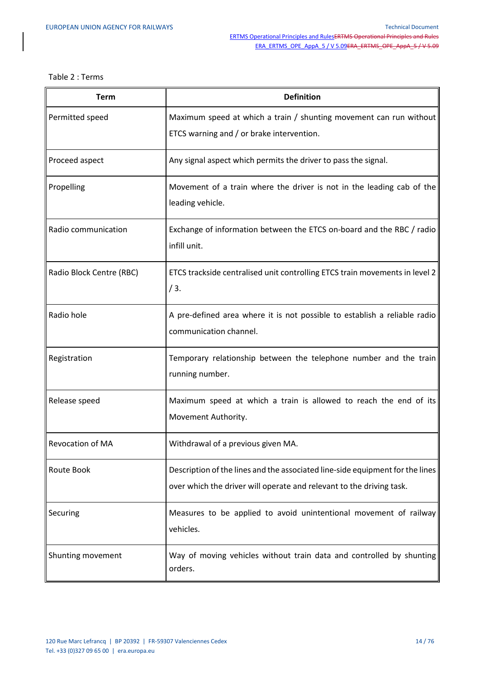| <b>Term</b>              | <b>Definition</b>                                                                                                                                     |
|--------------------------|-------------------------------------------------------------------------------------------------------------------------------------------------------|
| Permitted speed          | Maximum speed at which a train / shunting movement can run without<br>ETCS warning and / or brake intervention.                                       |
| Proceed aspect           | Any signal aspect which permits the driver to pass the signal.                                                                                        |
| Propelling               | Movement of a train where the driver is not in the leading cab of the<br>leading vehicle.                                                             |
| Radio communication      | Exchange of information between the ETCS on-board and the RBC / radio<br>infill unit.                                                                 |
| Radio Block Centre (RBC) | ETCS trackside centralised unit controlling ETCS train movements in level 2<br>/3.                                                                    |
| Radio hole               | A pre-defined area where it is not possible to establish a reliable radio<br>communication channel.                                                   |
| Registration             | Temporary relationship between the telephone number and the train<br>running number.                                                                  |
| Release speed            | Maximum speed at which a train is allowed to reach the end of its<br>Movement Authority.                                                              |
| <b>Revocation of MA</b>  | Withdrawal of a previous given MA.                                                                                                                    |
| Route Book               | Description of the lines and the associated line-side equipment for the lines<br>over which the driver will operate and relevant to the driving task. |
| Securing                 | Measures to be applied to avoid unintentional movement of railway<br>vehicles.                                                                        |
| Shunting movement        | Way of moving vehicles without train data and controlled by shunting<br>orders.                                                                       |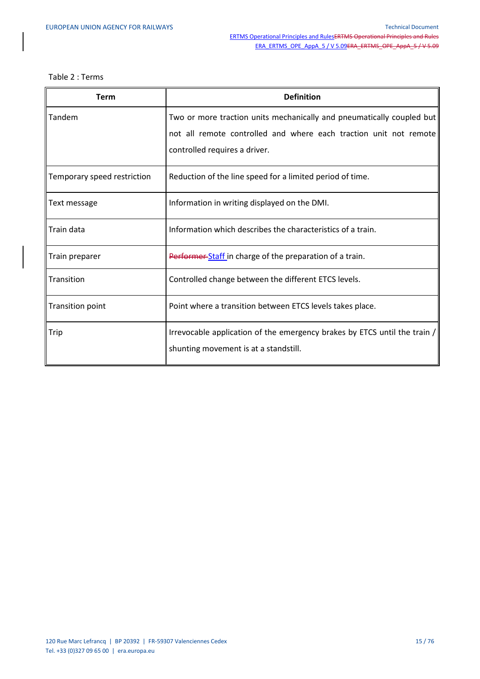| Term                        | <b>Definition</b>                                                         |
|-----------------------------|---------------------------------------------------------------------------|
| Tandem                      | Two or more traction units mechanically and pneumatically coupled but     |
|                             | not all remote controlled and where each traction unit not remote         |
|                             | controlled requires a driver.                                             |
| Temporary speed restriction | Reduction of the line speed for a limited period of time.                 |
| Text message                | Information in writing displayed on the DMI.                              |
| Train data                  | Information which describes the characteristics of a train.               |
| Train preparer              | Performer Staff in charge of the preparation of a train.                  |
| Transition                  | Controlled change between the different ETCS levels.                      |
| Transition point            | Point where a transition between ETCS levels takes place.                 |
| Trip                        | Irrevocable application of the emergency brakes by ETCS until the train / |
|                             | shunting movement is at a standstill.                                     |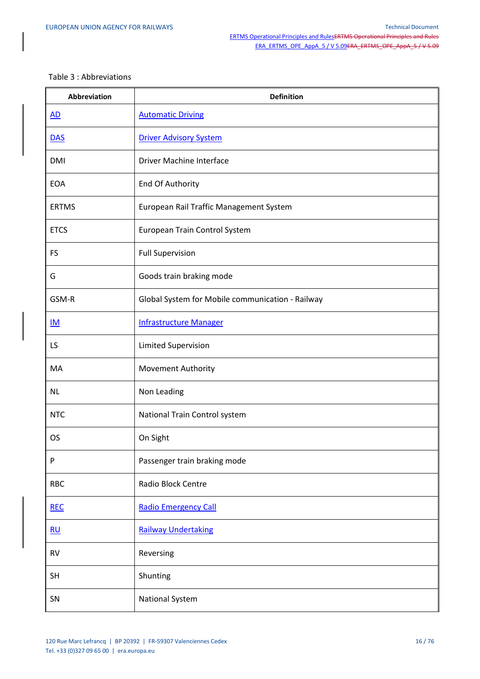#### Table 3 : Abbreviations

| <b>Abbreviation</b> | <b>Definition</b>                                |
|---------------------|--------------------------------------------------|
| $\underline{AD}$    | <b>Automatic Driving</b>                         |
| <b>DAS</b>          | <b>Driver Advisory System</b>                    |
| <b>DMI</b>          | Driver Machine Interface                         |
| <b>EOA</b>          | End Of Authority                                 |
| <b>ERTMS</b>        | European Rail Traffic Management System          |
| <b>ETCS</b>         | European Train Control System                    |
| <b>FS</b>           | <b>Full Supervision</b>                          |
| G                   | Goods train braking mode                         |
| GSM-R               | Global System for Mobile communication - Railway |
| IM                  | <b>Infrastructure Manager</b>                    |
| LS                  | Limited Supervision                              |
| MA                  | <b>Movement Authority</b>                        |
| <b>NL</b>           | Non Leading                                      |
| <b>NTC</b>          | National Train Control system                    |
| OS                  | On Sight                                         |
| P                   | Passenger train braking mode                     |
| <b>RBC</b>          | Radio Block Centre                               |
| <b>REC</b>          | <b>Radio Emergency Call</b>                      |
| RU                  | <b>Railway Undertaking</b>                       |
| <b>RV</b>           | Reversing                                        |
| <b>SH</b>           | Shunting                                         |
| SN                  | <b>National System</b>                           |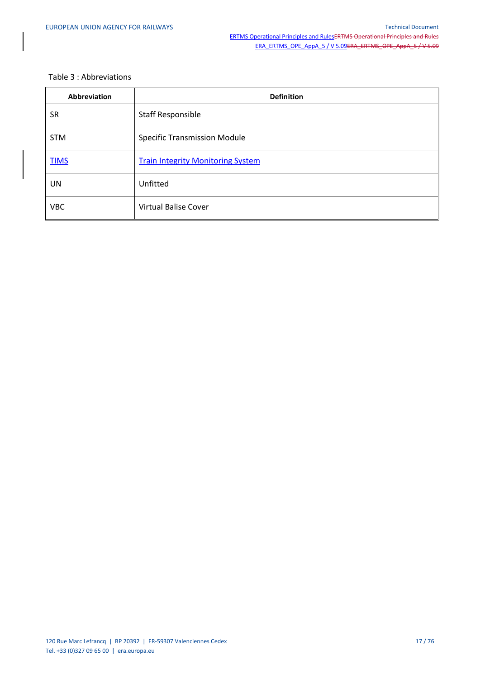### Table 3 : Abbreviations

| <b>Abbreviation</b> | <b>Definition</b>                        |
|---------------------|------------------------------------------|
| <b>SR</b>           | Staff Responsible                        |
| <b>STM</b>          | <b>Specific Transmission Module</b>      |
| <b>TIMS</b>         | <b>Train Integrity Monitoring System</b> |
| UN                  | Unfitted                                 |
| <b>VBC</b>          | <b>Virtual Balise Cover</b>              |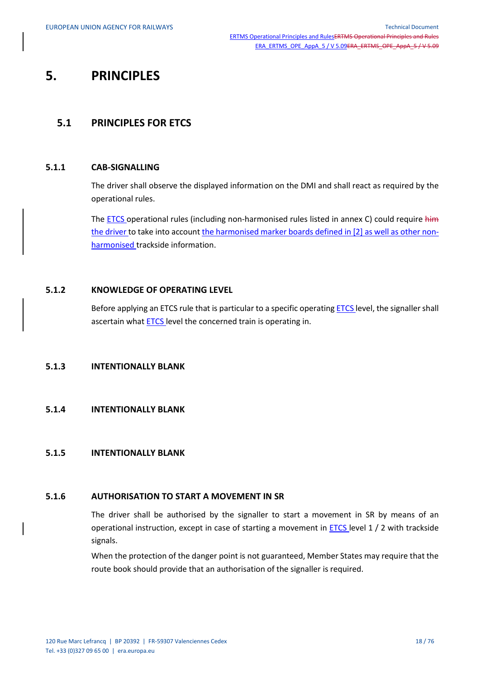# **5. PRINCIPLES**

# **5.1 PRINCIPLES FOR ETCS**

### **5.1.1 CAB-SIGNALLING**

The driver shall observe the displayed information on the DMI and shall react as required by the operational rules.

The **ETCS** operational rules (including non-harmonised rules listed in annex C) could require him the driver to take into account the harmonised marker boards defined in [2] as well as other nonharmonised trackside information.

## **5.1.2 KNOWLEDGE OF OPERATING LEVEL**

Before applying an ETCS rule that is particular to a specific operating ETCS level, the signaller shall ascertain what ETCS level the concerned train is operating in.

## **5.1.3 INTENTIONALLY BLANK**

### **5.1.4 INTENTIONALLY BLANK**

#### **5.1.5 INTENTIONALLY BLANK**

#### **5.1.6 AUTHORISATION TO START A MOVEMENT IN SR**

The driver shall be authorised by the signaller to start a movement in SR by means of an operational instruction, except in case of starting a movement in **ETCS** level 1 / 2 with trackside signals.

When the protection of the danger point is not guaranteed, Member States may require that the route book should provide that an authorisation of the signaller is required.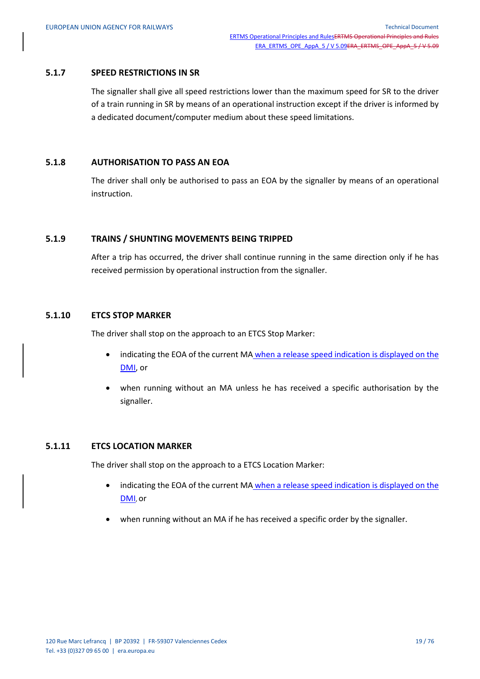#### **5.1.7 SPEED RESTRICTIONS IN SR**

The signaller shall give all speed restrictions lower than the maximum speed for SR to the driver of a train running in SR by means of an operational instruction except if the driver is informed by a dedicated document/computer medium about these speed limitations.

### **5.1.8 AUTHORISATION TO PASS AN EOA**

The driver shall only be authorised to pass an EOA by the signaller by means of an operational instruction.

#### **5.1.9 TRAINS / SHUNTING MOVEMENTS BEING TRIPPED**

After a trip has occurred, the driver shall continue running in the same direction only if he has received permission by operational instruction from the signaller.

## **5.1.10 ETCS STOP MARKER**

The driver shall stop on the approach to an ETCS Stop Marker:

- indicating the EOA of the current MA when a release speed indication is displayed on the DMI, or
- when running without an MA unless he has received a specific authorisation by the signaller.

#### **5.1.11 ETCS LOCATION MARKER**

The driver shall stop on the approach to a ETCS Location Marker:

- indicating the EOA of the current MA when a release speed indication is displayed on the DMI, or
- when running without an MA if he has received a specific order by the signaller.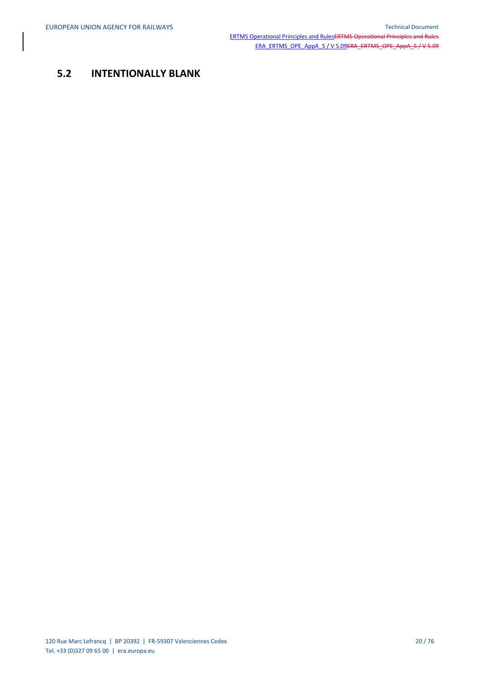# **5.2 INTENTIONALLY BLANK**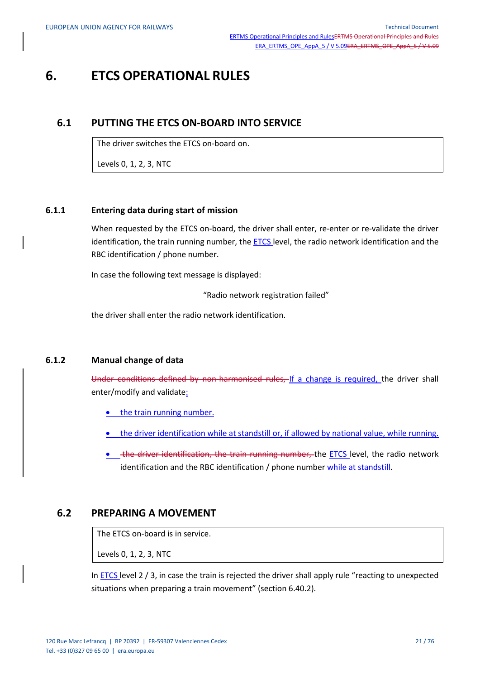# **6. ETCS OPERATIONAL RULES**

## **6.1 PUTTING THE ETCS ON-BOARD INTO SERVICE**

The driver switches the ETCS on-board on.

Levels 0, 1, 2, 3, NTC

#### **6.1.1 Entering data during start of mission**

When requested by the ETCS on-board, the driver shall enter, re-enter or re-validate the driver identification, the train running number, the ETCS level, the radio network identification and the RBC identification / phone number.

In case the following text message is displayed:

"Radio network registration failed"

the driver shall enter the radio network identification.

## **6.1.2 Manual change of data**

Under conditions defined by non-harmonised rules, If a change is required, the driver shall enter/modify and validate:

• the train running number.

- the driver identification while at standstill or, if allowed by national value, while running.
- the driver identification, the train running number, the ETCS level, the radio network identification and the RBC identification / phone number while at standstill.

## **6.2 PREPARING A MOVEMENT**

The ETCS on-board is in service.

Levels 0, 1, 2, 3, NTC

In  $ETCS$  level  $2/3$ , in case the train is rejected the driver shall apply rule "reacting to unexpected situations when preparing a train movement" (section 6.40.2).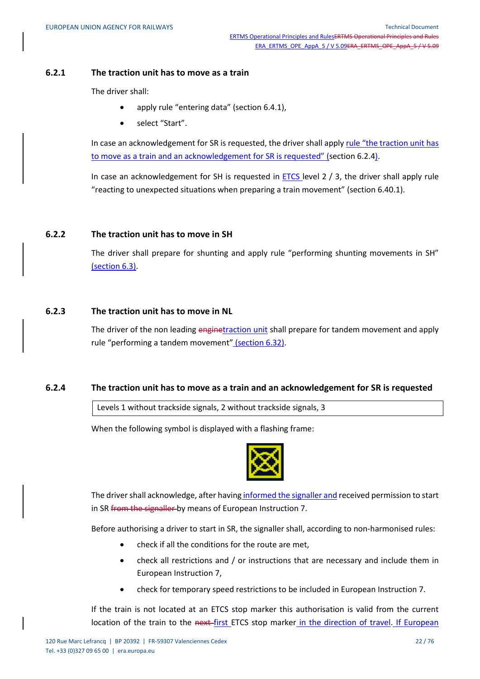#### **6.2.1 The traction unit has to move as a train**

The driver shall:

- apply rule "entering data" (section 6.4.1),
- select "Start".

In case an acknowledgement for SR is requested, the driver shall apply rule "the traction unit has to move as a train and an acknowledgement for SR is requested" (section 6.2.4).

In case an acknowledgement for SH is requested in  $ETCS$  level  $2/3$ , the driver shall apply rule "reacting to unexpected situations when preparing a train movement" (section 6.40.1).

#### **6.2.2 The traction unit has to move in SH**

The driver shall prepare for shunting and apply rule "performing shunting movements in SH" (section 6.3).

## **6.2.3 The traction unit has to move in NL**

The driver of the non leading enginetraction unit shall prepare for tandem movement and apply rule "performing a tandem movement" (section 6.32).

#### **6.2.4 The traction unit has to move as a train and an acknowledgement for SR is requested**

Levels 1 without trackside signals, 2 without trackside signals, 3

When the following symbol is displayed with a flashing frame:



The driver shall acknowledge, after having informed the signaller and received permission to start in SR from the signaller by means of European Instruction 7.

Before authorising a driver to start in SR, the signaller shall, according to non-harmonised rules:

- check if all the conditions for the route are met,
- check all restrictions and / or instructions that are necessary and include them in European Instruction 7,
- check for temporary speed restrictions to be included in European Instruction 7.

If the train is not located at an ETCS stop marker this authorisation is valid from the current location of the train to the next-first ETCS stop marker in the direction of travel. If European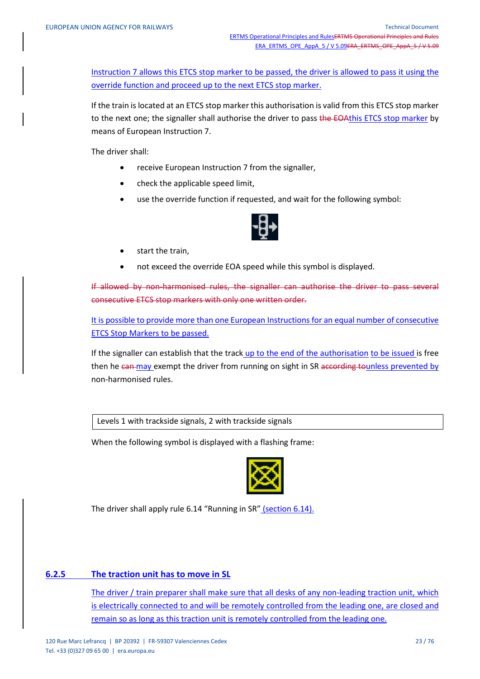Instruction 7 allows this ETCS stop marker to be passed, the driver is allowed to pass it using the override function and proceed up to the next ETCS stop marker.

If the train is located at an ETCS stop marker this authorisation is valid from this ETCS stop marker to the next one; the signaller shall authorise the driver to pass the EOAthis ETCS stop marker by means of European Instruction 7.

The driver shall:

- receive European Instruction 7 from the signaller,
- check the applicable speed limit,
- use the override function if requested, and wait for the following symbol:



- start the train,
- not exceed the override EOA speed while this symbol is displayed.

If allowed by non-harmonised rules, the signaller can authorise the driver to pass several consecutive ETCS stop markers with only one written order.

It is possible to provide more than one European Instructions for an equal number of consecutive ETCS Stop Markers to be passed.

If the signaller can establish that the track up to the end of the authorisation to be issued is free then he can may exempt the driver from running on sight in SR according to unless prevented by non-harmonised rules.

Levels 1 with trackside signals, 2 with trackside signals

When the following symbol is displayed with a flashing frame:



The driver shall apply rule 6.14 "Running in SR" (section 6.14).

#### **6.2.5 The traction unit has to move in SL**

The driver / train preparer shall make sure that all desks of any non-leading traction unit, which is electrically connected to and will be remotely controlled from the leading one, are closed and remain so as long as this traction unit is remotely controlled from the leading one.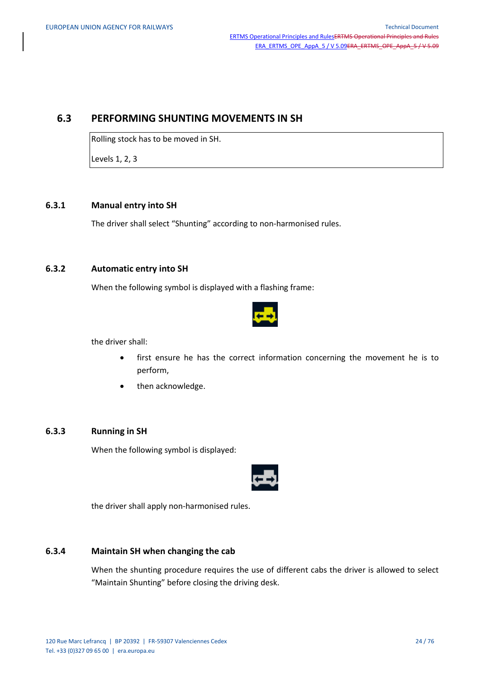## **6.3 PERFORMING SHUNTING MOVEMENTS IN SH**

Rolling stock has to be moved in SH.

Levels 1, 2, 3

## **6.3.1 Manual entry into SH**

The driver shall select "Shunting" according to non-harmonised rules.

## **6.3.2 Automatic entry into SH**

When the following symbol is displayed with a flashing frame:



the driver shall:

- first ensure he has the correct information concerning the movement he is to perform,
- then acknowledge.

## **6.3.3 Running in SH**

When the following symbol is displayed:



the driver shall apply non-harmonised rules.

## **6.3.4 Maintain SH when changing the cab**

When the shunting procedure requires the use of different cabs the driver is allowed to select "Maintain Shunting" before closing the driving desk.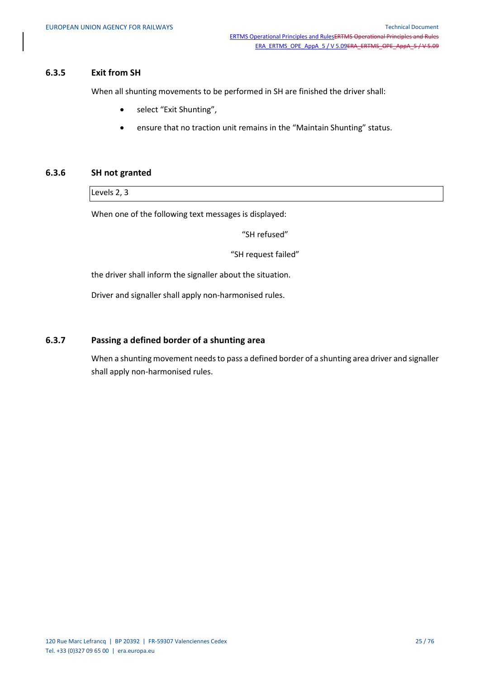#### **6.3.5 Exit from SH**

When all shunting movements to be performed in SH are finished the driver shall:

- select "Exit Shunting",
- ensure that no traction unit remains in the "Maintain Shunting" status.

## **6.3.6 SH not granted**

Levels 2, 3

When one of the following text messages is displayed:

"SH refused"

"SH request failed"

the driver shall inform the signaller about the situation.

Driver and signaller shall apply non-harmonised rules.

## **6.3.7 Passing a defined border of a shunting area**

When a shunting movement needs to pass a defined border of a shunting area driver and signaller shall apply non-harmonised rules.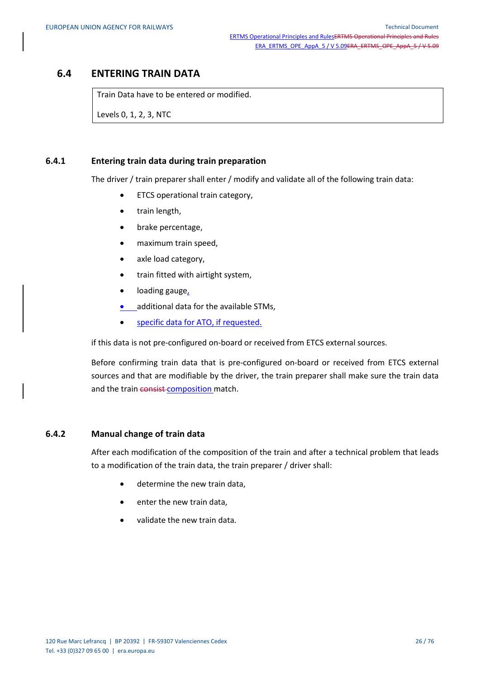# **6.4 ENTERING TRAIN DATA**

Train Data have to be entered or modified.

Levels 0, 1, 2, 3, NTC

### **6.4.1 Entering train data during train preparation**

The driver / train preparer shall enter / modify and validate all of the following train data:

- ETCS operational train category,
- train length,
- brake percentage,
- maximum train speed,
- axle load category,
- train fitted with airtight system,
- loading gauge,
- additional data for the available STMs,
- specific data for ATO, if requested.

if this data is not pre-configured on-board or received from ETCS external sources.

Before confirming train data that is pre-configured on-board or received from ETCS external sources and that are modifiable by the driver, the train preparer shall make sure the train data and the train consist-composition match.

### **6.4.2 Manual change of train data**

After each modification of the composition of the train and after a technical problem that leads to a modification of the train data, the train preparer / driver shall:

- determine the new train data,
- enter the new train data,
- validate the new train data.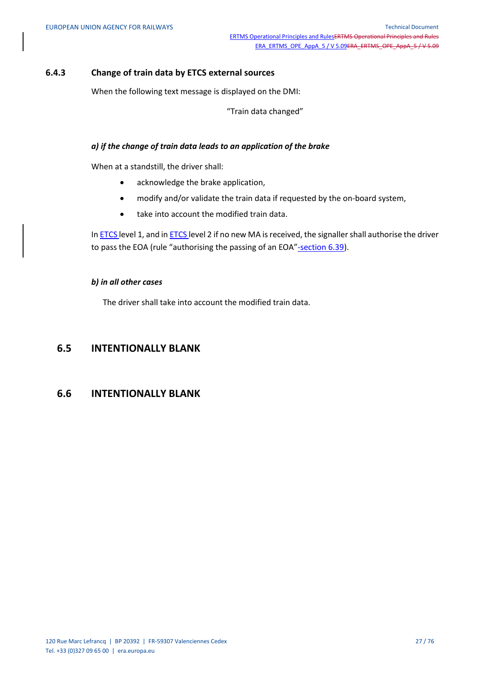## **6.4.3 Change of train data by ETCS external sources**

When the following text message is displayed on the DMI:

"Train data changed"

#### *a) if the change of train data leads to an application of the brake*

When at a standstill, the driver shall:

- acknowledge the brake application,
- modify and/or validate the train data if requested by the on-board system,
- take into account the modified train data.

In ETCS level 1, and in ETCS level 2 if no new MA is received, the signaller shall authorise the driver to pass the EOA (rule "authorising the passing of an EOA"-section 6.39).

#### *b) in all other cases*

The driver shall take into account the modified train data.

## **6.5 INTENTIONALLY BLANK**

## **6.6 INTENTIONALLY BLANK**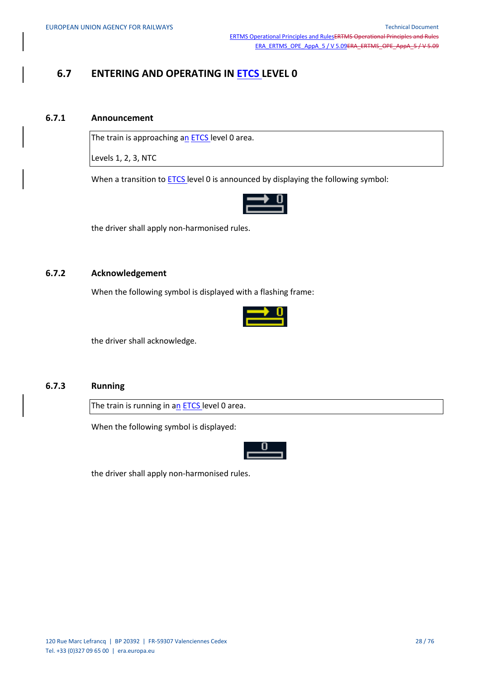# **6.7 ENTERING AND OPERATING IN ETCS LEVEL 0**

#### **6.7.1 Announcement**

The train is approaching an **ETCS** level 0 area.

Levels 1, 2, 3, NTC

When a transition to **ETCS** level 0 is announced by displaying the following symbol:



the driver shall apply non-harmonised rules.

#### **6.7.2 Acknowledgement**

When the following symbol is displayed with a flashing frame:



the driver shall acknowledge.

## **6.7.3 Running**

The train is running in an **ETCS** level 0 area.

When the following symbol is displayed:



the driver shall apply non-harmonised rules.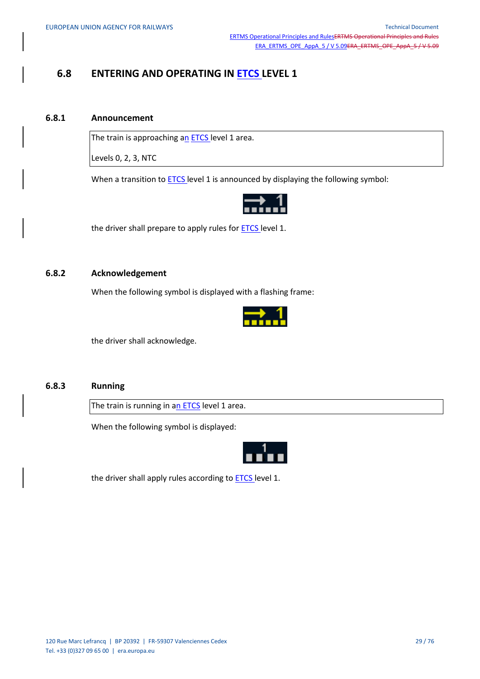# **6.8 ENTERING AND OPERATING IN ETCS LEVEL 1**

#### **6.8.1 Announcement**

The train is approaching an **ETCS** level 1 area.

Levels 0, 2, 3, NTC

When a transition to **ETCS** level 1 is announced by displaying the following symbol:



the driver shall prepare to apply rules for **ETCS** level 1.

#### **6.8.2 Acknowledgement**

When the following symbol is displayed with a flashing frame:



the driver shall acknowledge.

## **6.8.3 Running**

The train is running in an ETCS level 1 area.

When the following symbol is displayed:



the driver shall apply rules according to **ETCS** level 1.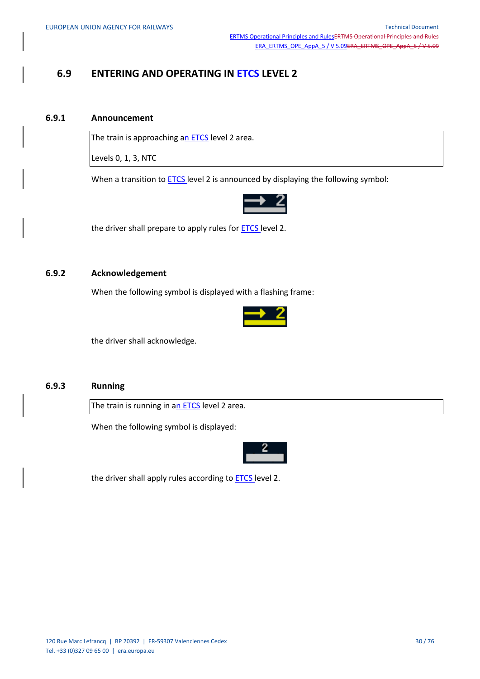# **6.9 ENTERING AND OPERATING IN ETCS LEVEL 2**

#### **6.9.1 Announcement**

The train is approaching an ETCS level 2 area.

Levels 0, 1, 3, NTC

When a transition to **ETCS** level 2 is announced by displaying the following symbol:



the driver shall prepare to apply rules for **ETCS** level 2.

#### **6.9.2 Acknowledgement**

When the following symbol is displayed with a flashing frame:



the driver shall acknowledge.

## **6.9.3 Running**

The train is running in an ETCS level 2 area.

When the following symbol is displayed:



the driver shall apply rules according to **ETCS** level 2.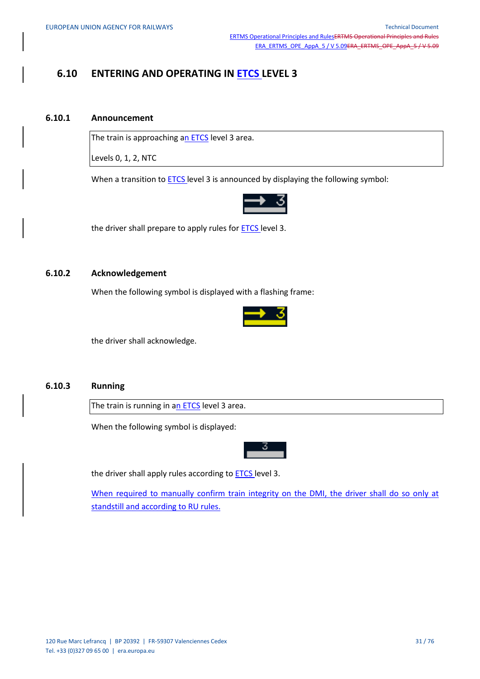# **6.10 ENTERING AND OPERATING IN ETCS LEVEL 3**

#### **6.10.1 Announcement**

The train is approaching an ETCS level 3 area.

Levels 0, 1, 2, NTC

When a transition to **ETCS** level 3 is announced by displaying the following symbol:



the driver shall prepare to apply rules for **ETCS** level 3.

#### **6.10.2 Acknowledgement**

When the following symbol is displayed with a flashing frame:



the driver shall acknowledge.

## **6.10.3 Running**

The train is running in an ETCS level 3 area.

When the following symbol is displayed:



the driver shall apply rules according to **ETCS** level 3.

When required to manually confirm train integrity on the DMI, the driver shall do so only at standstill and according to RU rules.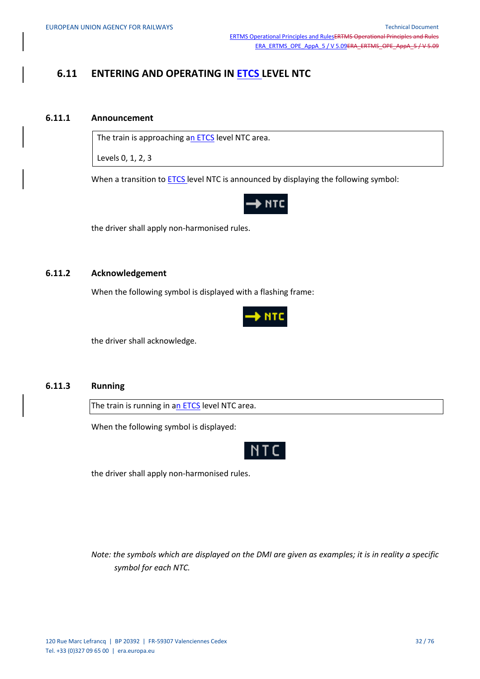# **6.11 ENTERING AND OPERATING IN ETCS LEVEL NTC**

#### **6.11.1 Announcement**

The train is approaching an ETCS level NTC area.

Levels 0, 1, 2, 3

When a transition to **ETCS** level NTC is announced by displaying the following symbol:



the driver shall apply non-harmonised rules.

#### **6.11.2 Acknowledgement**

When the following symbol is displayed with a flashing frame:



the driver shall acknowledge.

## **6.11.3 Running**

The train is running in an ETCS level NTC area.

When the following symbol is displayed:



the driver shall apply non-harmonised rules.

*Note: the symbols which are displayed on the DMI are given as examples; it is in reality a specific symbol for each NTC.*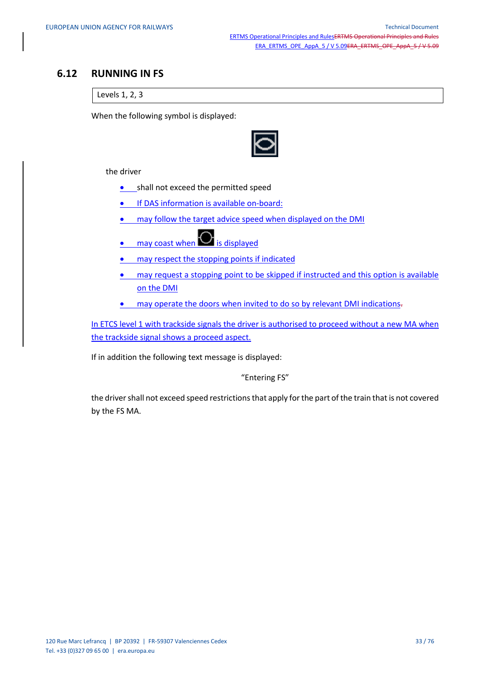## **6.12 RUNNING IN FS**

Levels 1, 2, 3

When the following symbol is displayed:



the driver

- **•** shall not exceed the permitted speed
- **If DAS information is available on-board:**
- may follow the target advice speed when displayed on the DMI
- $\bullet$  may coast when  $\bullet$  is displayed
- may respect the stopping points if indicated
- may request a stopping point to be skipped if instructed and this option is available on the DMI
- may operate the doors when invited to do so by relevant DMI indications.

In ETCS level 1 with trackside signals the driver is authorised to proceed without a new MA when the trackside signal shows a proceed aspect.

If in addition the following text message is displayed:

"Entering FS"

the driver shall not exceed speed restrictions that apply for the part of the train that is not covered by the FS MA.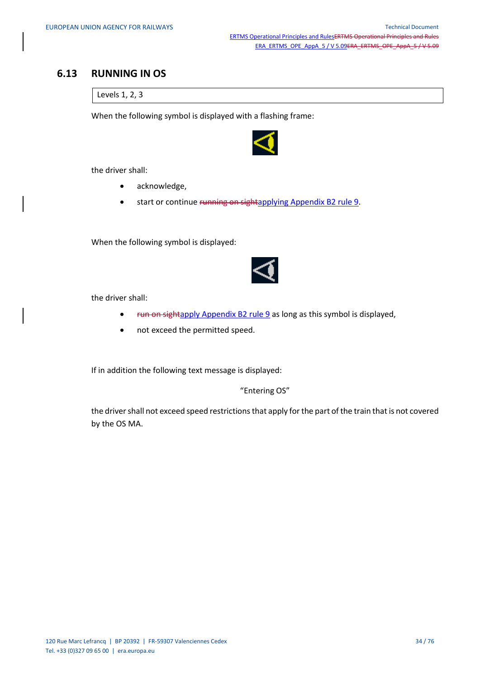## **6.13 RUNNING IN OS**

Levels 1, 2, 3

When the following symbol is displayed with a flashing frame:



the driver shall:

- acknowledge,
- start or continue running on sightapplying Appendix B2 rule 9.

When the following symbol is displayed:



the driver shall:

- Fun on sightapply Appendix B2 rule 9 as long as this symbol is displayed,
- not exceed the permitted speed.

If in addition the following text message is displayed:

"Entering OS"

the driver shall not exceed speed restrictions that apply for the part of the train that is not covered by the OS MA.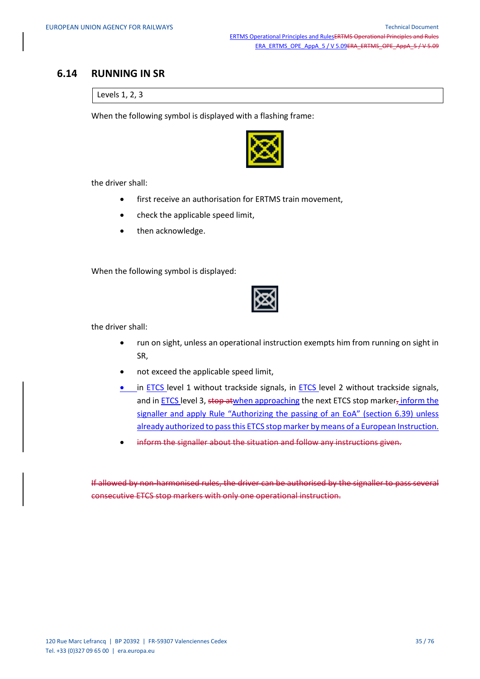## **6.14 RUNNING IN SR**

Levels 1, 2, 3

When the following symbol is displayed with a flashing frame:



the driver shall:

- first receive an authorisation for ERTMS train movement,
- check the applicable speed limit,
- then acknowledge.

When the following symbol is displayed:



the driver shall:

- run on sight, unless an operational instruction exempts him from running on sight in SR,
- not exceed the applicable speed limit,
- in ETCS level 1 without trackside signals, in ETCS level 2 without trackside signals, and in ETCS level 3, stop atwhen approaching the next ETCS stop marker, inform the signaller and apply Rule "Authorizing the passing of an EoA" (section 6.39) unless already authorized to pass this ETCS stop marker by means of a European Instruction.
- inform the signaller about the situation and follow any instructions given.

If allowed by non-harmonised rules, the driver can be authorised by the signaller to pass several consecutive ETCS stop markers with only one operational instruction.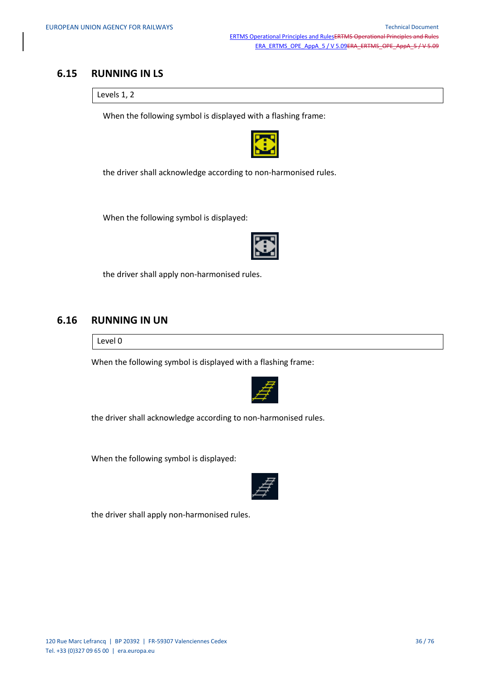## **6.15 RUNNING IN LS**

Levels 1, 2

When the following symbol is displayed with a flashing frame:



the driver shall acknowledge according to non-harmonised rules.

When the following symbol is displayed:

the driver shall apply non-harmonised rules.

## **6.16 RUNNING IN UN**

Level 0

When the following symbol is displayed with a flashing frame:



the driver shall acknowledge according to non-harmonised rules.

When the following symbol is displayed:



the driver shall apply non-harmonised rules.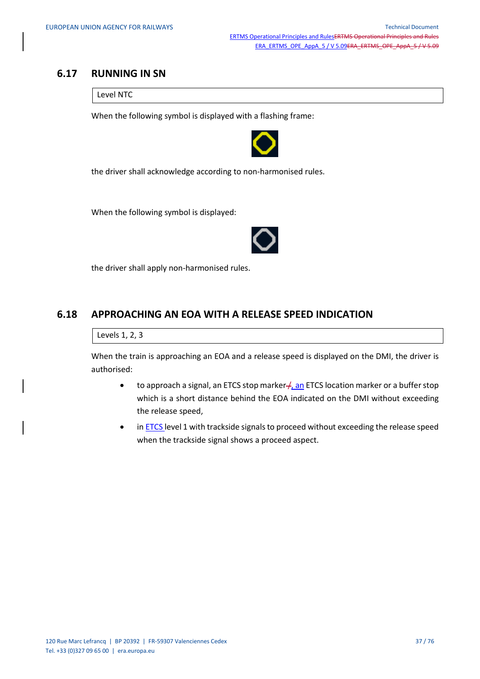### **6.17 RUNNING IN SN**

Level NTC

When the following symbol is displayed with a flashing frame:



the driver shall acknowledge according to non-harmonised rules.

When the following symbol is displayed:



the driver shall apply non-harmonised rules.

## **6.18 APPROACHING AN EOA WITH A RELEASE SPEED INDICATION**

Levels 1, 2, 3

When the train is approaching an EOA and a release speed is displayed on the DMI, the driver is authorised:

- to approach a signal, an ETCS stop marker  $\neq$ , an ETCS location marker or a buffer stop which is a short distance behind the EOA indicated on the DMI without exceeding the release speed,
- in ETCS level 1 with trackside signals to proceed without exceeding the release speed when the trackside signal shows a proceed aspect.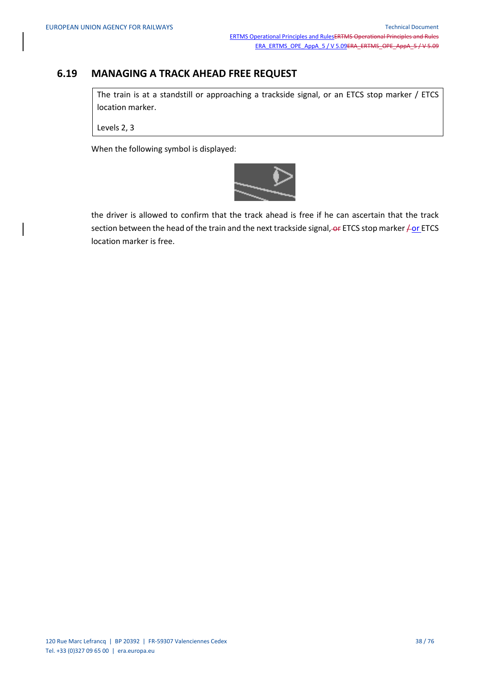## **6.19 MANAGING A TRACK AHEAD FREE REQUEST**

The train is at a standstill or approaching a trackside signal, or an ETCS stop marker / ETCS location marker.

Levels 2, 3

When the following symbol is displayed:



the driver is allowed to confirm that the track ahead is free if he can ascertain that the track section between the head of the train and the next trackside signal,  $-$  ETCS stop marker  $\neq$  or ETCS location marker is free.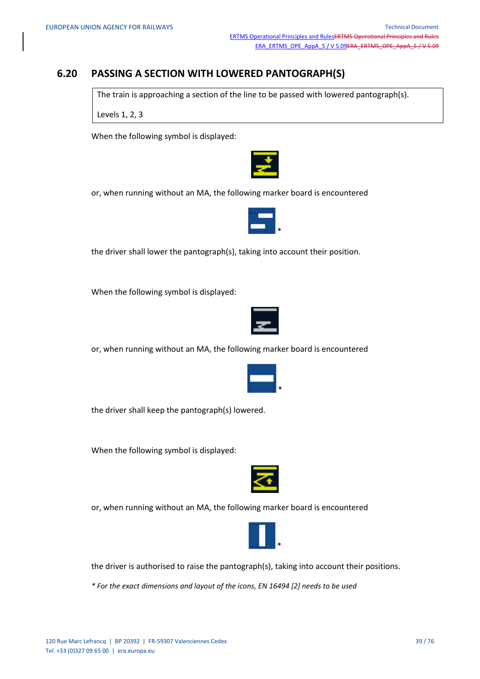## **6.20 PASSING A SECTION WITH LOWERED PANTOGRAPH(S)**

The train is approaching a section of the line to be passed with lowered pantograph(s).

Levels 1, 2, 3

When the following symbol is displayed:



or, when running without an MA, the following marker board is encountered



the driver shall lower the pantograph(s), taking into account their position.

When the following symbol is displayed:



or, when running without an MA, the following marker board is encountered



the driver shall keep the pantograph(s) lowered.

When the following symbol is displayed:



or, when running without an MA, the following marker board is encountered



the driver is authorised to raise the pantograph(s), taking into account their positions.

*\* For the exact dimensions and layout of the icons, EN 16494 [2] needs to be used*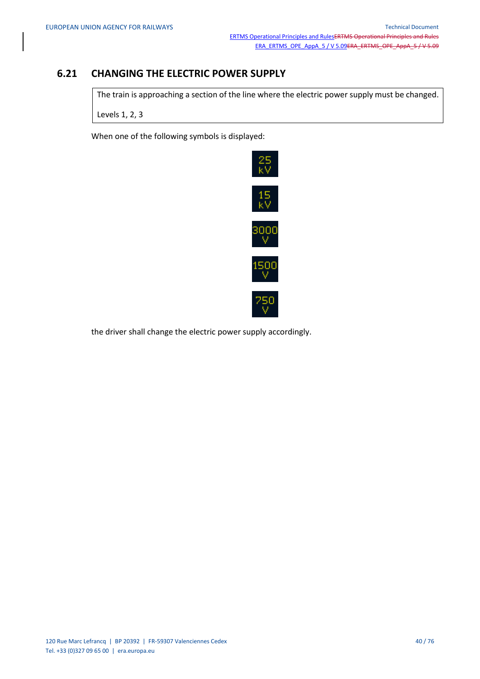## **6.21 CHANGING THE ELECTRIC POWER SUPPLY**

The train is approaching a section of the line where the electric power supply must be changed.

Levels 1, 2, 3

When one of the following symbols is displayed:



the driver shall change the electric power supply accordingly.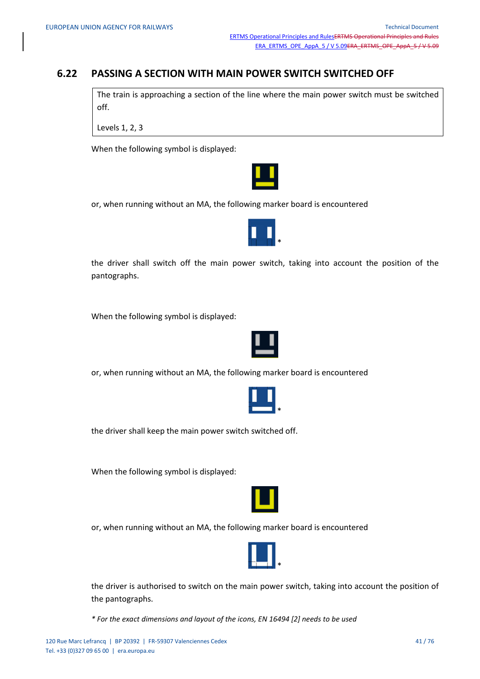## **6.22 PASSING A SECTION WITH MAIN POWER SWITCH SWITCHED OFF**

The train is approaching a section of the line where the main power switch must be switched off.

Levels 1, 2, 3

When the following symbol is displayed:

or, when running without an MA, the following marker board is encountered



the driver shall switch off the main power switch, taking into account the position of the pantographs.

When the following symbol is displayed:



or, when running without an MA, the following marker board is encountered



the driver shall keep the main power switch switched off.

When the following symbol is displayed:



or, when running without an MA, the following marker board is encountered



the driver is authorised to switch on the main power switch, taking into account the position of the pantographs.

*\* For the exact dimensions and layout of the icons, EN 16494 [2] needs to be used*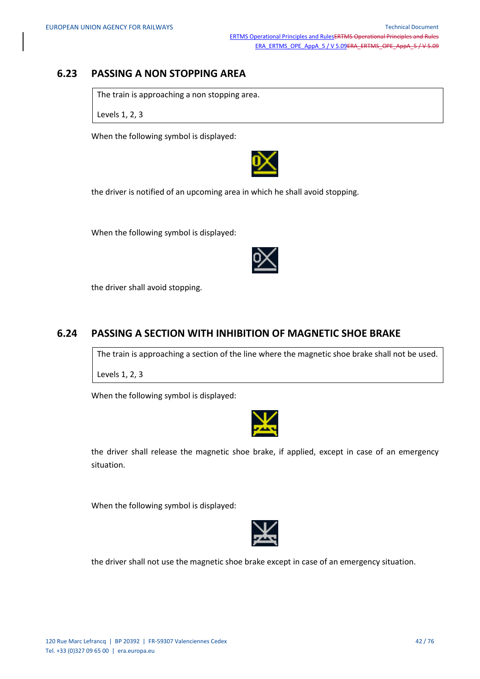## **6.23 PASSING A NON STOPPING AREA**

The train is approaching a non stopping area.

Levels 1, 2, 3

When the following symbol is displayed:



the driver is notified of an upcoming area in which he shall avoid stopping.

When the following symbol is displayed:

the driver shall avoid stopping.

### **6.24 PASSING A SECTION WITH INHIBITION OF MAGNETIC SHOE BRAKE**

The train is approaching a section of the line where the magnetic shoe brake shall not be used.

Levels 1, 2, 3

When the following symbol is displayed:



the driver shall release the magnetic shoe brake, if applied, except in case of an emergency situation.

When the following symbol is displayed:



the driver shall not use the magnetic shoe brake except in case of an emergency situation.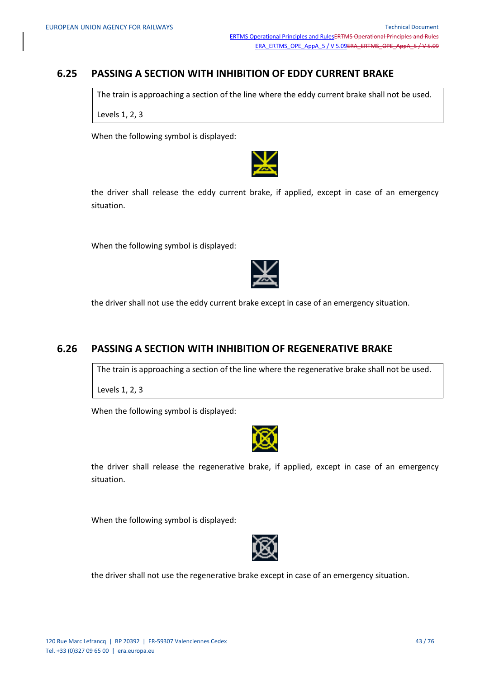## **6.25 PASSING A SECTION WITH INHIBITION OF EDDY CURRENT BRAKE**

The train is approaching a section of the line where the eddy current brake shall not be used.

Levels 1, 2, 3

When the following symbol is displayed:



the driver shall release the eddy current brake, if applied, except in case of an emergency situation.

When the following symbol is displayed:

the driver shall not use the eddy current brake except in case of an emergency situation.

### **6.26 PASSING A SECTION WITH INHIBITION OF REGENERATIVE BRAKE**

The train is approaching a section of the line where the regenerative brake shall not be used.

Levels 1, 2, 3

When the following symbol is displayed:



the driver shall release the regenerative brake, if applied, except in case of an emergency situation.

When the following symbol is displayed:



the driver shall not use the regenerative brake except in case of an emergency situation.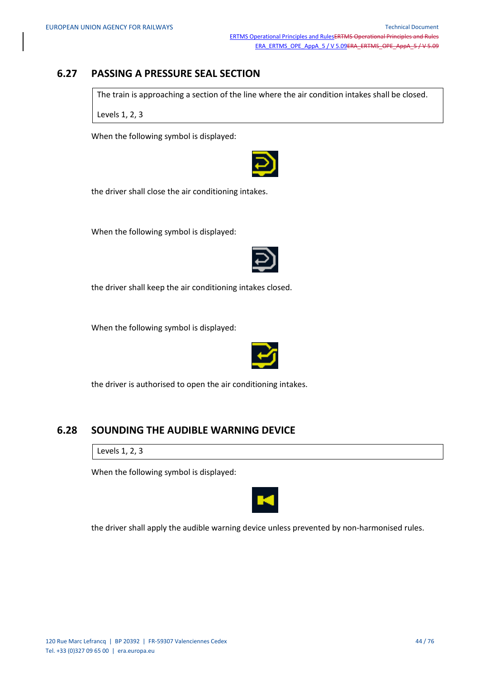## **6.27 PASSING A PRESSURE SEAL SECTION**

The train is approaching a section of the line where the air condition intakes shall be closed.

Levels 1, 2, 3

When the following symbol is displayed:



the driver shall close the air conditioning intakes.

When the following symbol is displayed:



the driver shall keep the air conditioning intakes closed.

When the following symbol is displayed:



the driver is authorised to open the air conditioning intakes.

### **6.28 SOUNDING THE AUDIBLE WARNING DEVICE**

Levels 1, 2, 3

When the following symbol is displayed:



the driver shall apply the audible warning device unless prevented by non-harmonised rules.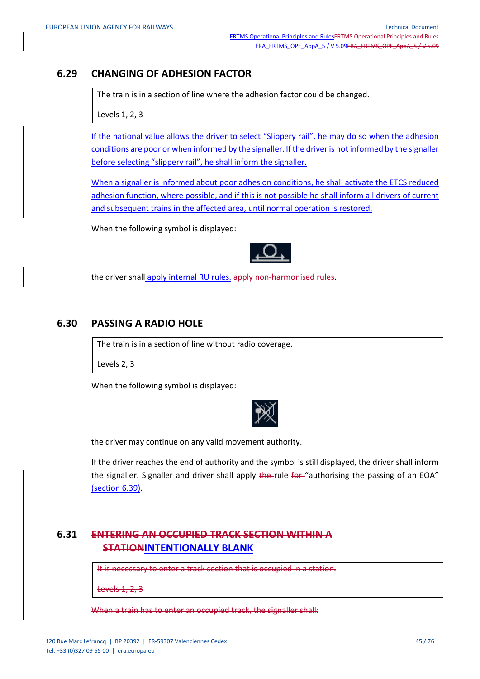## **6.29 CHANGING OF ADHESION FACTOR**

The train is in a section of line where the adhesion factor could be changed.

Levels 1, 2, 3

If the national value allows the driver to select "Slippery rail", he may do so when the adhesion conditions are poor or when informed by the signaller. If the driver is not informed by the signaller before selecting "slippery rail", he shall inform the signaller.

When a signaller is informed about poor adhesion conditions, he shall activate the ETCS reduced adhesion function, where possible, and if this is not possible he shall inform all drivers of current and subsequent trains in the affected area, until normal operation is restored.

When the following symbol is displayed:



the driver shall apply internal RU rules. apply non-harmonised rules.

## **6.30 PASSING A RADIO HOLE**

The train is in a section of line without radio coverage.

Levels 2, 3

When the following symbol is displayed:



the driver may continue on any valid movement authority.

If the driver reaches the end of authority and the symbol is still displayed, the driver shall inform the signaller. Signaller and driver shall apply the rule for "authorising the passing of an EOA" (section 6.39).

## **6.31 ENTERING AN OCCUPIED TRACK SECTION WITHIN A STATIONINTENTIONALLY BLANK**

It is necessary to enter a track section that is occupied in a station.

Levels 1, 2, 3

When a train has to enter an occupied track, the signaller shall: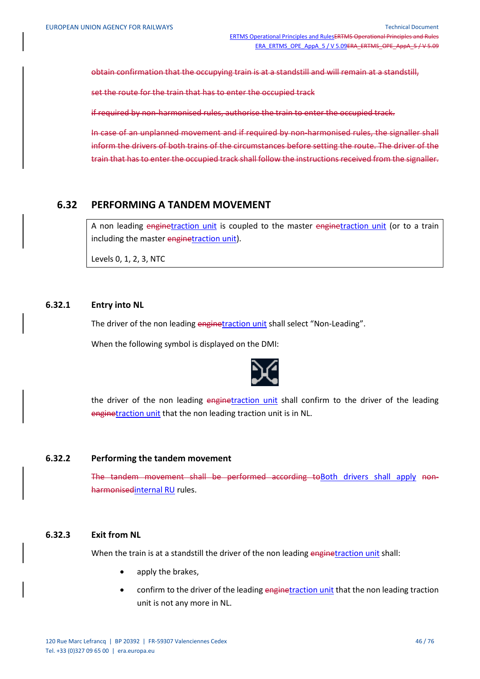obtain confirmation that the occupying train is at a standstill and will remain at a standstill,

set the route for the train that has to enter the occupied track

if required by non-harmonised rules, authorise the train to enter the occupied track.

In case of an unplanned movement and if required by non-harmonised rules, the signaller shall inform the drivers of both trains of the circumstances before setting the route. The driver of the train that has to enter the occupied track shall follow the instructions received from the signaller.

### **6.32 PERFORMING A TANDEM MOVEMENT**

A non leading enginetraction unit is coupled to the master enginetraction unit (or to a train including the master enginetraction unit).

Levels 0, 1, 2, 3, NTC

#### **6.32.1 Entry into NL**

The driver of the non leading enginetraction unit shall select "Non-Leading".

When the following symbol is displayed on the DMI:



the driver of the non leading enginetraction unit shall confirm to the driver of the leading enginetraction unit that the non leading traction unit is in NL.

#### **6.32.2 Performing the tandem movement**

The tandem movement shall be performed according toBoth drivers shall apply nonharmonisedinternal RU rules.

#### **6.32.3 Exit from NL**

When the train is at a standstill the driver of the non leading enginetraction unit shall:

- apply the brakes,
- confirm to the driver of the leading enginetraction unit that the non leading traction unit is not any more in NL.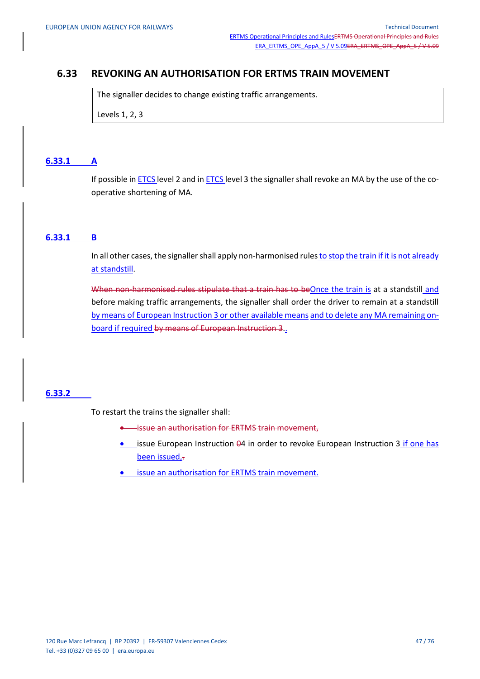## **6.33 REVOKING AN AUTHORISATION FOR ERTMS TRAIN MOVEMENT**

The signaller decides to change existing traffic arrangements.

Levels 1, 2, 3

#### **6.33.1 A**

If possible in **ETCS** level 2 and in **ETCS** level 3 the signaller shall revoke an MA by the use of the cooperative shortening of MA.

#### **6.33.1 B**

In all other cases, the signaller shall apply non-harmonised rules to stop the train if it is not already at standstill.

When non-harmonised rules stipulate that a train has to beOnce the train is at a standstill and before making traffic arrangements, the signaller shall order the driver to remain at a standstill by means of European Instruction 3 or other available means and to delete any MA remaining onboard if required by means of European Instruction 3.

#### **6.33.2**

To restart the trains the signaller shall:

- **issue an authorisation for ERTMS train movement,**
- Lissue European Instruction 04 in order to revoke European Instruction 3 if one has been issued,.
- issue an authorisation for ERTMS train movement.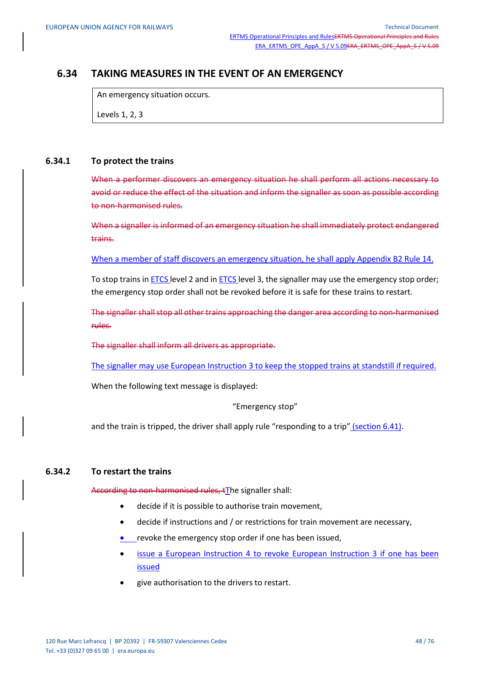## **6.34 TAKING MEASURES IN THE EVENT OF AN EMERGENCY**

An emergency situation occurs.

Levels 1, 2, 3

#### **6.34.1 To protect the trains**

When a performer discovers an emergency situation he shall perform all actions necessary to avoid or reduce the effect of the situation and inform the signaller as soon as possible according to non-harmonised rules.

When a signaller is informed of an emergency situation he shall immediately protect endangered trains.

When a member of staff discovers an emergency situation, he shall apply Appendix B2 Rule 14.

To stop trains in ETCS level 2 and in ETCS level 3, the signaller may use the emergency stop order; the emergency stop order shall not be revoked before it is safe for these trains to restart.

The signaller shall stop all other trains approaching the danger area according to non-harmonised rules.

The signaller shall inform all drivers as appropriate.

The signaller may use European Instruction 3 to keep the stopped trains at standstill if required.

When the following text message is displayed:

"Emergency stop"

and the train is tripped, the driver shall apply rule "responding to a trip" (section 6.41).

#### **6.34.2 To restart the trains**

According to non-harmonised rules, tThe signaller shall:

- decide if it is possible to authorise train movement,
- decide if instructions and / or restrictions for train movement are necessary,
- revoke the emergency stop order if one has been issued,
- issue a European Instruction 4 to revoke European Instruction 3 if one has been issued
- give authorisation to the drivers to restart.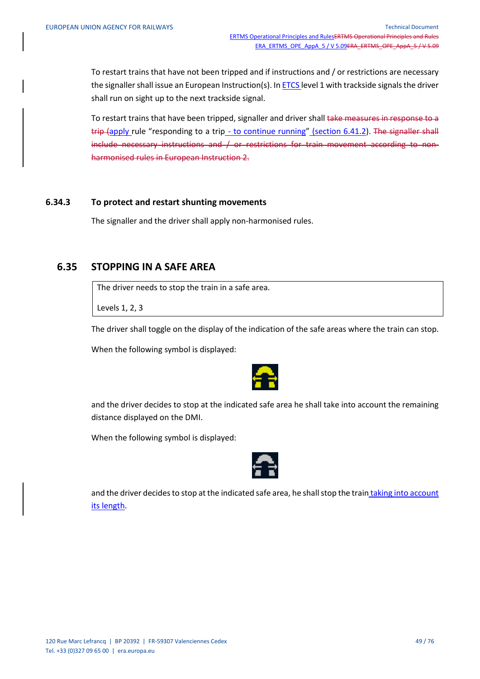To restart trains that have not been tripped and if instructions and / or restrictions are necessary the signaller shall issue an European Instruction(s). In ETCS level 1 with trackside signals the driver shall run on sight up to the next trackside signal.

To restart trains that have been tripped, signaller and driver shall take measures in response to a trip (apply rule "responding to a trip - to continue running" (section 6.41.2). The signaller shall include necessary instructions and / or restrictions for train movement according to nonharmonised rules in European Instruction 2.

#### **6.34.3 To protect and restart shunting movements**

The signaller and the driver shall apply non-harmonised rules.

### **6.35 STOPPING IN A SAFE AREA**

The driver needs to stop the train in a safe area.

Levels 1, 2, 3

The driver shall toggle on the display of the indication of the safe areas where the train can stop.

When the following symbol is displayed:



and the driver decides to stop at the indicated safe area he shall take into account the remaining distance displayed on the DMI.

When the following symbol is displayed:



and the driver decides to stop at the indicated safe area, he shall stop the train taking into account its length.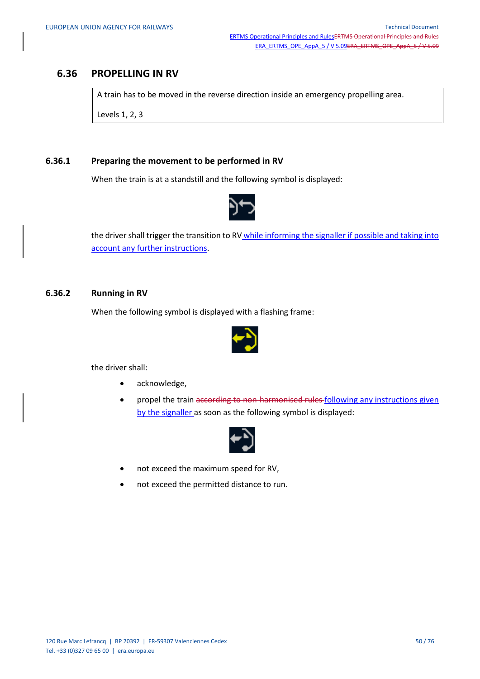## **6.36 PROPELLING IN RV**

A train has to be moved in the reverse direction inside an emergency propelling area.

Levels 1, 2, 3

#### **6.36.1 Preparing the movement to be performed in RV**

When the train is at a standstill and the following symbol is displayed:



the driver shall trigger the transition to RV while informing the signaller if possible and taking into account any further instructions.

#### **6.36.2 Running in RV**

When the following symbol is displayed with a flashing frame:



the driver shall:

- acknowledge,
- propel the train according to non-harmonised rules following any instructions given by the signaller as soon as the following symbol is displayed:



- not exceed the maximum speed for RV,
- not exceed the permitted distance to run.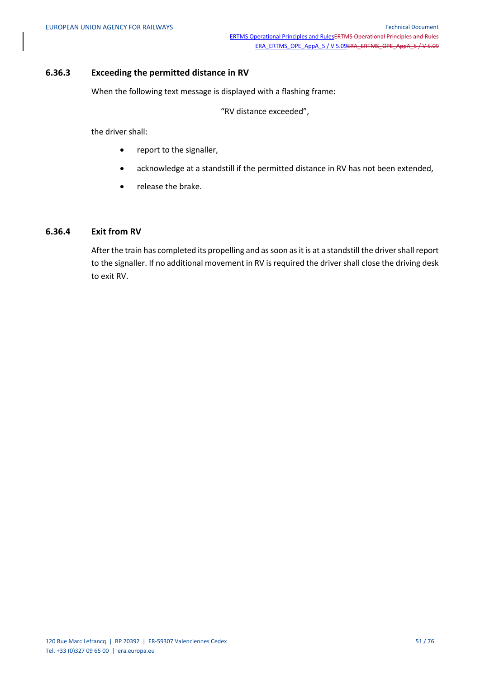#### **6.36.3 Exceeding the permitted distance in RV**

When the following text message is displayed with a flashing frame:

"RV distance exceeded",

the driver shall:

- report to the signaller,
- acknowledge at a standstill if the permitted distance in RV has not been extended,
- release the brake.

#### **6.36.4 Exit from RV**

After the train has completed its propelling and as soon as it is at a standstill the driver shall report to the signaller. If no additional movement in RV is required the driver shall close the driving desk to exit RV.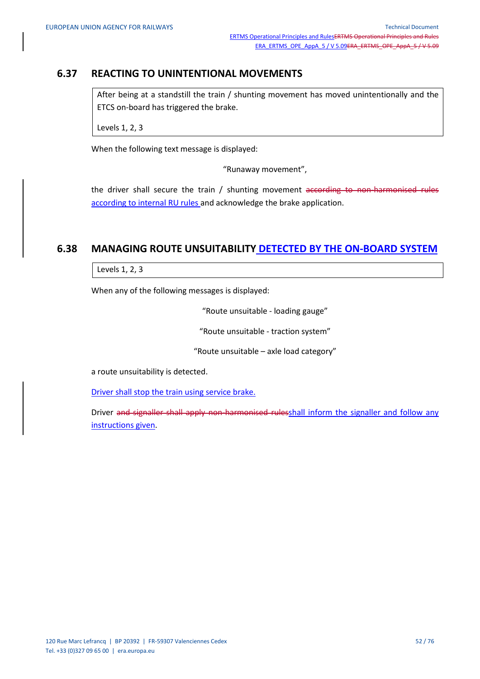## **6.37 REACTING TO UNINTENTIONAL MOVEMENTS**

After being at a standstill the train / shunting movement has moved unintentionally and the ETCS on-board has triggered the brake.

Levels 1, 2, 3

When the following text message is displayed:

"Runaway movement",

the driver shall secure the train / shunting movement according to non-harmonised rules according to internal RU rules and acknowledge the brake application.

## **6.38 MANAGING ROUTE UNSUITABILITY DETECTED BY THE ON-BOARD SYSTEM**

Levels 1, 2, 3

When any of the following messages is displayed:

"Route unsuitable - loading gauge"

"Route unsuitable - traction system"

"Route unsuitable – axle load category"

a route unsuitability is detected.

Driver shall stop the train using service brake.

Driver and signaller shall apply non-harmonised rulesshall inform the signaller and follow any instructions given.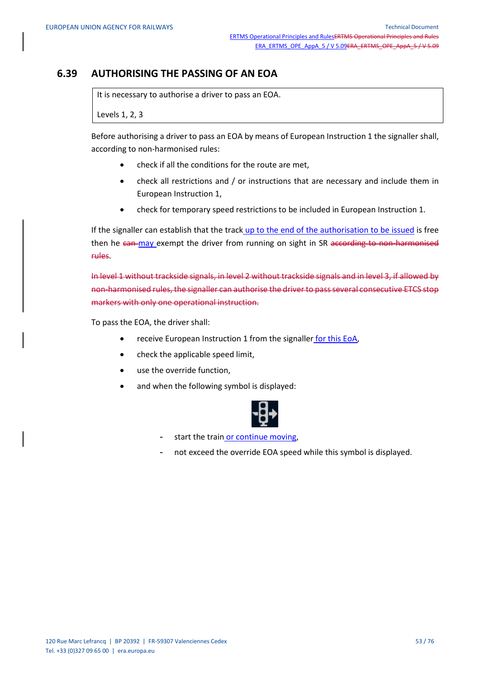## **6.39 AUTHORISING THE PASSING OF AN EOA**

It is necessary to authorise a driver to pass an EOA.

Levels 1, 2, 3

Before authorising a driver to pass an EOA by means of European Instruction 1 the signaller shall, according to non-harmonised rules:

- check if all the conditions for the route are met,
- check all restrictions and / or instructions that are necessary and include them in European Instruction 1,
- check for temporary speed restrictions to be included in European Instruction 1.

If the signaller can establish that the track up to the end of the authorisation to be issued is free then he can may exempt the driver from running on sight in SR according to non-harmonised rules.

In level 1 without trackside signals, in level 2 without trackside signals and in level 3, if allowed by non-harmonised rules, the signaller can authorise the driver to pass several consecutive ETCS stop markers with only one operational instruction.

To pass the EOA, the driver shall:

- receive European Instruction 1 from the signaller for this EoA,
- check the applicable speed limit,
- use the override function,
- and when the following symbol is displayed:



- start the train or continue moving,
- not exceed the override EOA speed while this symbol is displayed.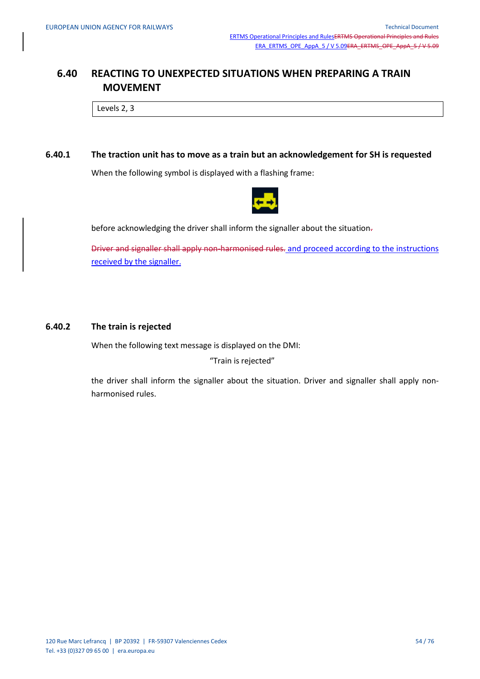## **6.40 REACTING TO UNEXPECTED SITUATIONS WHEN PREPARING A TRAIN MOVEMENT**

Levels 2, 3

#### **6.40.1 The traction unit has to move as a train but an acknowledgement for SH is requested**

When the following symbol is displayed with a flashing frame:



before acknowledging the driver shall inform the signaller about the situation-

Driver and signaller shall apply non-harmonised rules. and proceed according to the instructions received by the signaller.

#### **6.40.2 The train is rejected**

When the following text message is displayed on the DMI:

"Train is rejected"

the driver shall inform the signaller about the situation. Driver and signaller shall apply nonharmonised rules.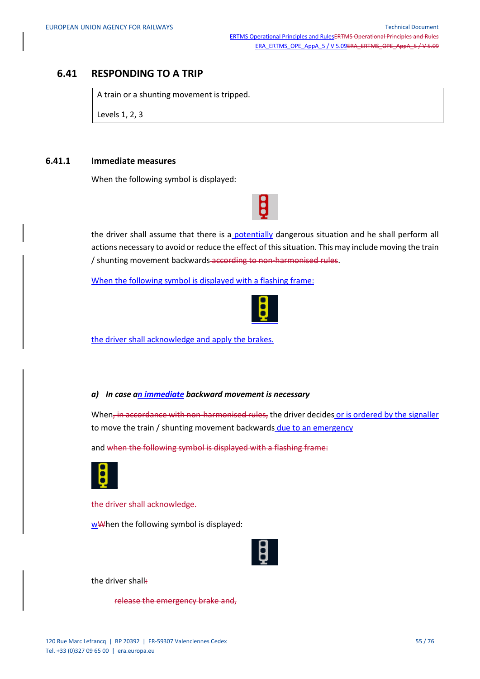### **6.41 RESPONDING TO A TRIP**

A train or a shunting movement is tripped.

Levels 1, 2, 3

#### **6.41.1 Immediate measures**

When the following symbol is displayed:

the driver shall assume that there is a potentially dangerous situation and he shall perform all actions necessary to avoid or reduce the effect of this situation. This may include moving the train / shunting movement backwards according to non-harmonised rules.

When the following symbol is displayed with a flashing frame:



the driver shall acknowledge and apply the brakes.

#### *a) In case an immediate backward movement is necessary*

When, in accordance with non-harmonised rules, the driver decides or is ordered by the signaller to move the train / shunting movement backwards due to an emergency

and when the following symbol is displayed with a flashing frame:



the driver shall acknowledge.

wWhen the following symbol is displayed:



the driver shall:

release the emergency brake and,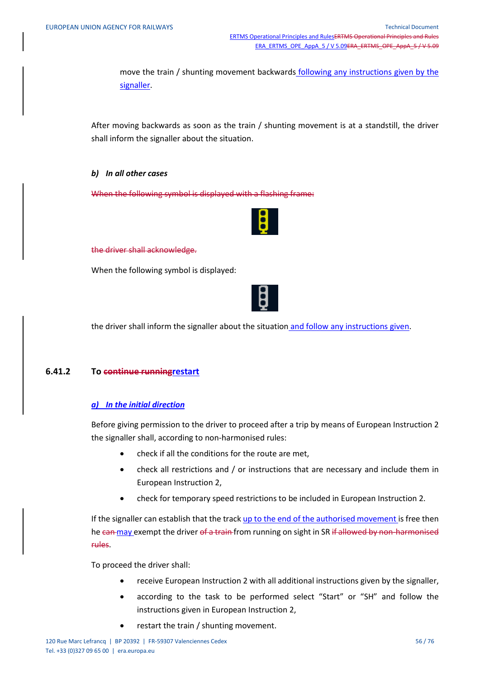move the train / shunting movement backwards following any instructions given by the signaller.

After moving backwards as soon as the train / shunting movement is at a standstill, the driver shall inform the signaller about the situation.

#### *b) In all other cases*

When the following symbol is displayed with a flashing frame:



#### the driver shall acknowledge.

When the following symbol is displayed:



the driver shall inform the signaller about the situation and follow any instructions given.

#### **6.41.2 To continue runningrestart**

#### *a) In the initial direction*

Before giving permission to the driver to proceed after a trip by means of European Instruction 2 the signaller shall, according to non-harmonised rules:

- check if all the conditions for the route are met,
- check all restrictions and / or instructions that are necessary and include them in European Instruction 2,
- check for temporary speed restrictions to be included in European Instruction 2.

If the signaller can establish that the track up to the end of the authorised movement is free then he can may exempt the driver of a train from running on sight in SR if allowed by non-harmonised rules.

To proceed the driver shall:

- receive European Instruction 2 with all additional instructions given by the signaller,
- according to the task to be performed select "Start" or "SH" and follow the instructions given in European Instruction 2,
- restart the train / shunting movement.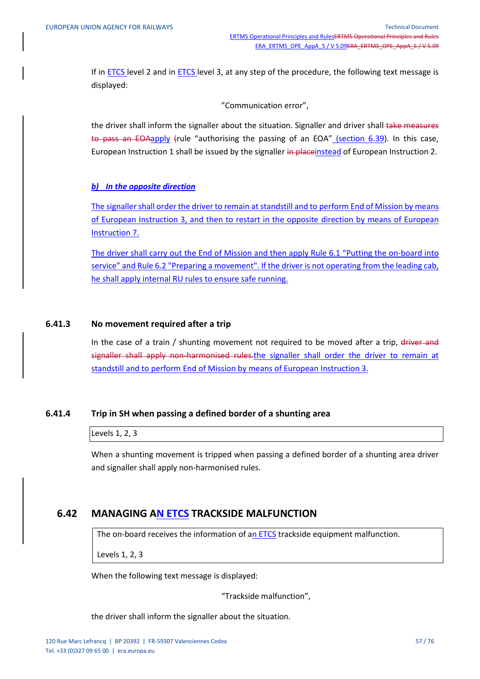If in ETCS level 2 and in ETCS level 3, at any step of the procedure, the following text message is displayed:

"Communication error",

the driver shall inform the signaller about the situation. Signaller and driver shall take measures to pass an EOAapply (rule "authorising the passing of an EOA" (section 6.39). In this case, European Instruction 1 shall be issued by the signaller in placeinstead of European Instruction 2.

#### *b) In the opposite direction*

The signaller shall order the driver to remain at standstill and to perform End of Mission by means of European Instruction 3, and then to restart in the opposite direction by means of European Instruction 7.

The driver shall carry out the End of Mission and then apply Rule 6.1 "Putting the on-board into service" and Rule 6.2 "Preparing a movement". If the driver is not operating from the leading cab, he shall apply internal RU rules to ensure safe running.

#### **6.41.3 No movement required after a trip**

In the case of a train / shunting movement not required to be moved after a trip, driver and signaller shall apply non-harmonised rules.the signaller shall order the driver to remain at standstill and to perform End of Mission by means of European Instruction 3.

#### **6.41.4 Trip in SH when passing a defined border of a shunting area**

Levels 1, 2, 3

When a shunting movement is tripped when passing a defined border of a shunting area driver and signaller shall apply non-harmonised rules.

### **6.42 MANAGING AN ETCS TRACKSIDE MALFUNCTION**

The on-board receives the information of an **ETCS** trackside equipment malfunction.

Levels 1, 2, 3

When the following text message is displayed:

"Trackside malfunction",

the driver shall inform the signaller about the situation.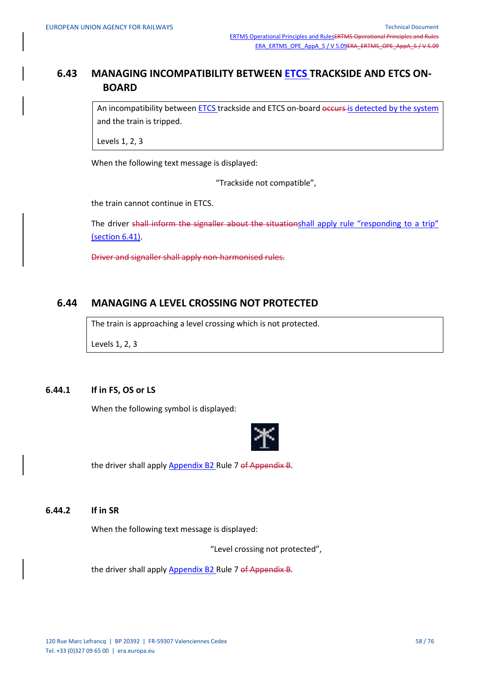## **6.43 MANAGING INCOMPATIBILITY BETWEEN ETCS TRACKSIDE AND ETCS ON-BOARD**

An incompatibility between ETCS trackside and ETCS on-board occurs is detected by the system and the train is tripped.

Levels 1, 2, 3

When the following text message is displayed:

"Trackside not compatible",

the train cannot continue in ETCS.

The driver shall inform the signaller about the situationshall apply rule "responding to a trip" (section 6.41).

Driver and signaller shall apply non-harmonised rules.

## **6.44 MANAGING A LEVEL CROSSING NOT PROTECTED**

The train is approaching a level crossing which is not protected.

Levels 1, 2, 3

#### **6.44.1 If in FS, OS or LS**

When the following symbol is displayed:



the driver shall apply Appendix B2 Rule 7 of Appendix B.

### **6.44.2 If in SR**

When the following text message is displayed:

"Level crossing not protected",

the driver shall apply Appendix B2 Rule 7 of Appendix B.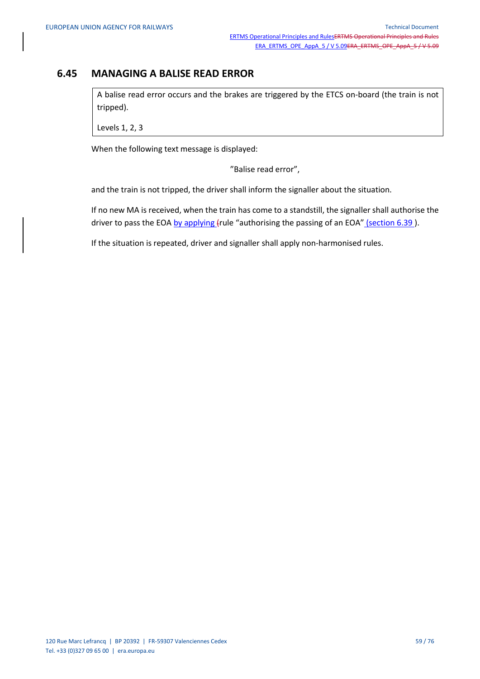## **6.45 MANAGING A BALISE READ ERROR**

A balise read error occurs and the brakes are triggered by the ETCS on-board (the train is not tripped).

Levels 1, 2, 3

When the following text message is displayed:

"Balise read error",

and the train is not tripped, the driver shall inform the signaller about the situation.

If no new MA is received, when the train has come to a standstill, the signaller shall authorise the driver to pass the EOA by applying (rule "authorising the passing of an EOA" (section 6.39).

If the situation is repeated, driver and signaller shall apply non-harmonised rules.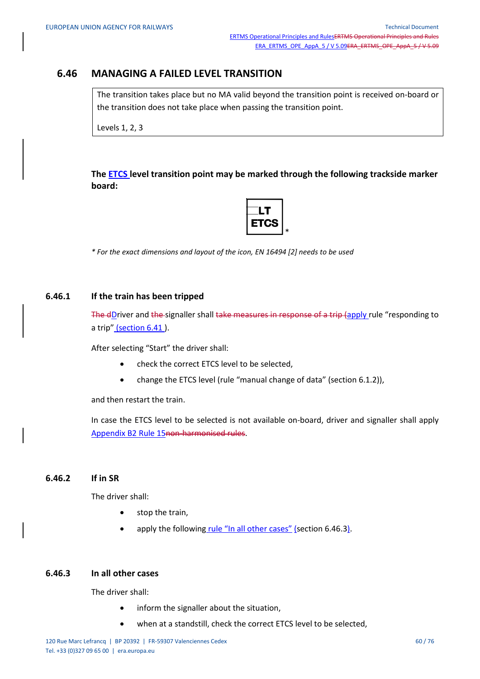## **6.46 MANAGING A FAILED LEVEL TRANSITION**

The transition takes place but no MA valid beyond the transition point is received on-board or the transition does not take place when passing the transition point.

Levels 1, 2, 3

**The ETCS level transition point may be marked through the following trackside marker board:**



*\* For the exact dimensions and layout of the icon, EN 16494 [2] needs to be used*

#### **6.46.1 If the train has been tripped**

The dDriver and the signaller shall take measures in response of a trip (apply rule "responding to a trip" (section 6.41).

After selecting "Start" the driver shall:

- check the correct ETCS level to be selected,
- change the ETCS level (rule "manual change of data" (section 6.1.2)),

and then restart the train.

In case the ETCS level to be selected is not available on-board, driver and signaller shall apply Appendix B2 Rule 15non-harmonised rules.

#### **6.46.2 If in SR**

The driver shall:

- stop the train,
- apply the following rule "In all other cases" (section 6.46.3).

#### **6.46.3 In all other cases**

The driver shall:

- inform the signaller about the situation,
- when at a standstill, check the correct ETCS level to be selected,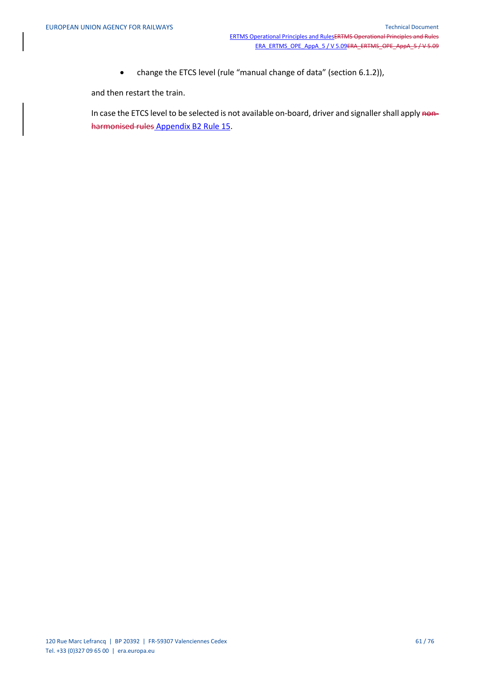change the ETCS level (rule "manual change of data" (section 6.1.2)),

and then restart the train.

In case the ETCS level to be selected is not available on-board, driver and signaller shall apply nonharmonised rules Appendix B2 Rule 15.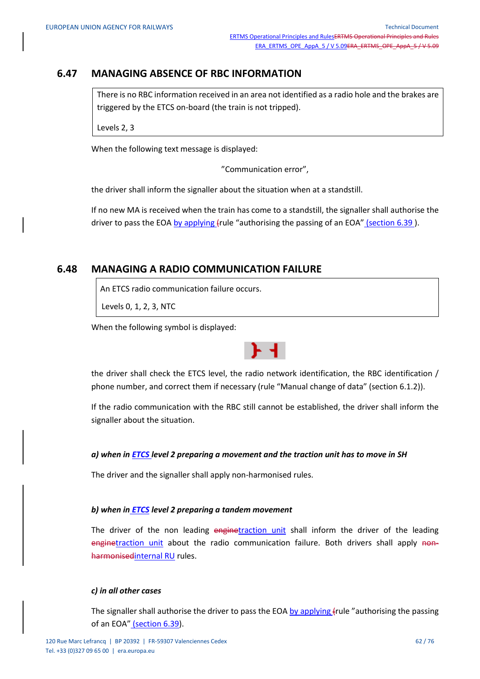## **6.47 MANAGING ABSENCE OF RBC INFORMATION**

There is no RBC information received in an area not identified as a radio hole and the brakes are triggered by the ETCS on-board (the train is not tripped).

Levels 2, 3

When the following text message is displayed:

"Communication error",

the driver shall inform the signaller about the situation when at a standstill.

If no new MA is received when the train has come to a standstill, the signaller shall authorise the driver to pass the EOA by applying (rule "authorising the passing of an EOA" (section 6.39).

## **6.48 MANAGING A RADIO COMMUNICATION FAILURE**

An ETCS radio communication failure occurs.

Levels 0, 1, 2, 3, NTC

When the following symbol is displayed:



the driver shall check the ETCS level, the radio network identification, the RBC identification / phone number, and correct them if necessary (rule "Manual change of data" (section 6.1.2)).

If the radio communication with the RBC still cannot be established, the driver shall inform the signaller about the situation.

#### *a) when in ETCS level 2 preparing a movement and the traction unit has to move in SH*

The driver and the signaller shall apply non-harmonised rules.

#### *b) when in ETCS level 2 preparing a tandem movement*

The driver of the non leading enginetraction unit shall inform the driver of the leading enginetraction unit about the radio communication failure. Both drivers shall apply nonharmonisedinternal RU rules.

#### *c) in all other cases*

The signaller shall authorise the driver to pass the EOA by applying (rule "authorising the passing of an EOA" (section 6.39).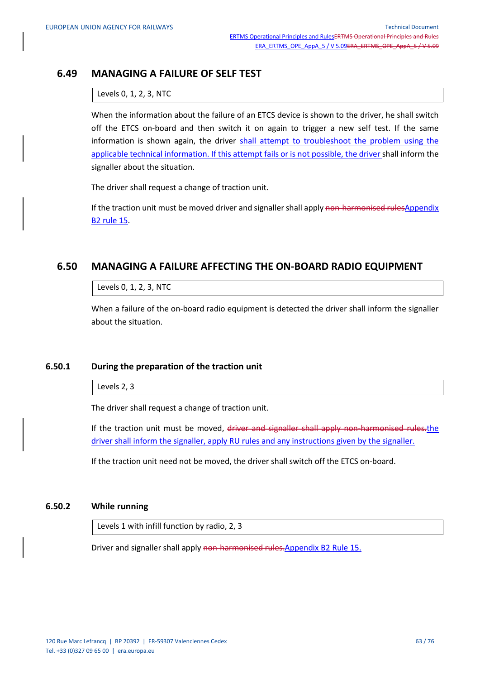## **6.49 MANAGING A FAILURE OF SELF TEST**

#### Levels 0, 1, 2, 3, NTC

When the information about the failure of an ETCS device is shown to the driver, he shall switch off the ETCS on-board and then switch it on again to trigger a new self test. If the same information is shown again, the driver shall attempt to troubleshoot the problem using the applicable technical information. If this attempt fails or is not possible, the driver shall inform the signaller about the situation.

The driver shall request a change of traction unit.

If the traction unit must be moved driver and signaller shall apply non-harmonised rulesAppendix B2 rule 15.

## **6.50 MANAGING A FAILURE AFFECTING THE ON-BOARD RADIO EQUIPMENT**

#### Levels 0, 1, 2, 3, NTC

When a failure of the on-board radio equipment is detected the driver shall inform the signaller about the situation.

#### **6.50.1 During the preparation of the traction unit**

Levels 2, 3

The driver shall request a change of traction unit.

If the traction unit must be moved, driver and signaller shall apply non-harmonised rules.the driver shall inform the signaller, apply RU rules and any instructions given by the signaller.

If the traction unit need not be moved, the driver shall switch off the ETCS on-board.

### **6.50.2 While running**

Levels 1 with infill function by radio, 2, 3

Driver and signaller shall apply non-harmonised rules.Appendix B2 Rule 15.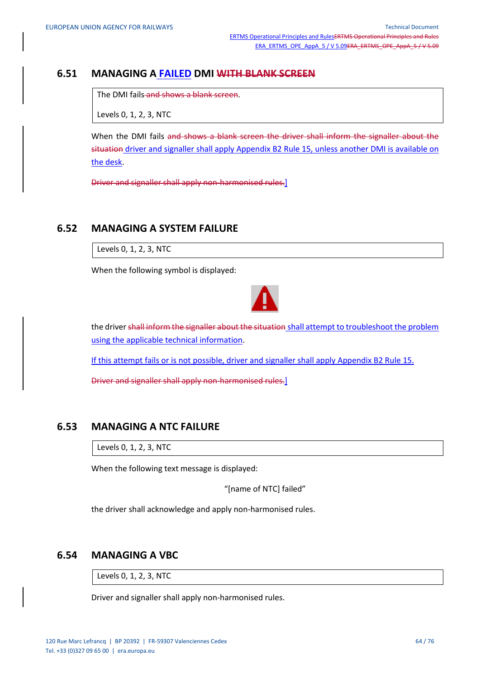### **6.51 MANAGING A FAILED DMI WITH BLANK SCREEN**

The DMI fails and shows a blank screen.

Levels 0, 1, 2, 3, NTC

When the DMI fails and shows a blank screen the driver shall inform the signaller about the situation driver and signaller shall apply Appendix B2 Rule 15, unless another DMI is available on the desk.

Driver and signaller shall apply non-harmonised rules.]

## **6.52 MANAGING A SYSTEM FAILURE**

Levels 0, 1, 2, 3, NTC

When the following symbol is displayed:



the driver shall inform the signaller about the situation shall attempt to troubleshoot the problem using the applicable technical information.

If this attempt fails or is not possible, driver and signaller shall apply Appendix B2 Rule 15.

Driver and signaller shall apply non-harmonised rules.]

### **6.53 MANAGING A NTC FAILURE**

Levels 0, 1, 2, 3, NTC

When the following text message is displayed:

"[name of NTC] failed"

the driver shall acknowledge and apply non-harmonised rules.

### **6.54 MANAGING A VBC**

Levels 0, 1, 2, 3, NTC

Driver and signaller shall apply non-harmonised rules.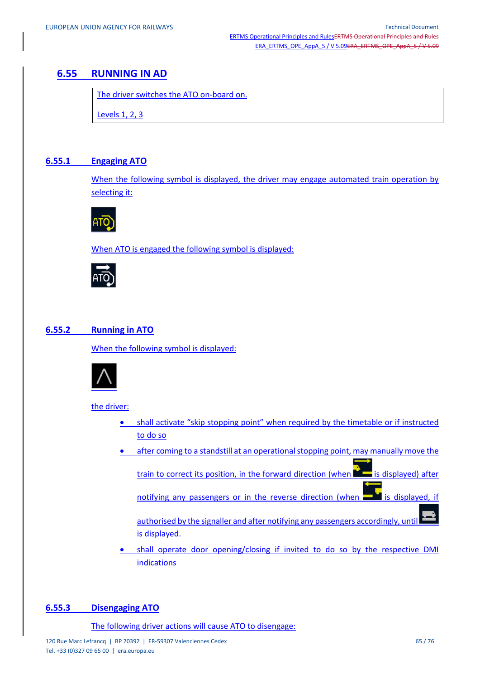## **6.55 RUNNING IN AD**

The driver switches the ATO on-board on.

Levels 1, 2, 3

### **6.55.1 Engaging ATO**

When the following symbol is displayed, the driver may engage automated train operation by selecting it:



When ATO is engaged the following symbol is displayed:



### **6.55.2 Running in ATO**

When the following symbol is displayed:



the driver:

- shall activate "skip stopping point" when required by the timetable or if instructed to do so
- after coming to a standstill at an operational stopping point, may manually move the

train to correct its position, in the forward direction (when it is displayed) after

notifying any passengers or in the reverse direction (when  $\blacksquare$  is displayed, if

authorised by the signaller and after notifying any passengers accordingly, until is displayed.

 shall operate door opening/closing if invited to do so by the respective DMI indications

#### **6.55.3 Disengaging ATO**

The following driver actions will cause ATO to disengage: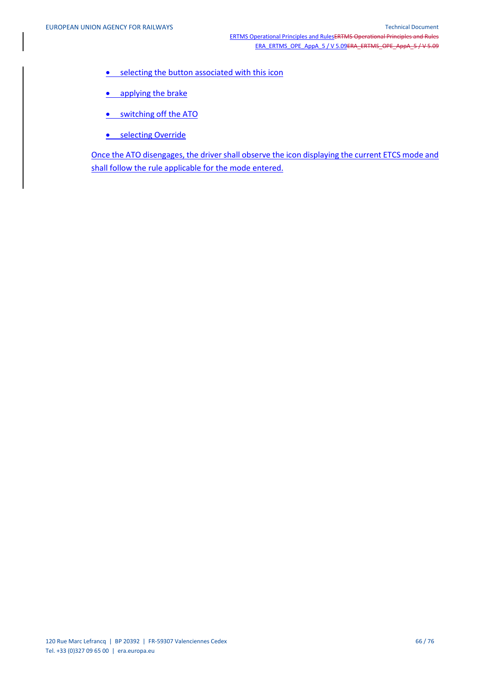- **•** selecting the button associated with this icon
- applying the brake
- **•** switching off the ATO
- **•** selecting Override

Once the ATO disengages, the driver shall observe the icon displaying the current ETCS mode and shall follow the rule applicable for the mode entered.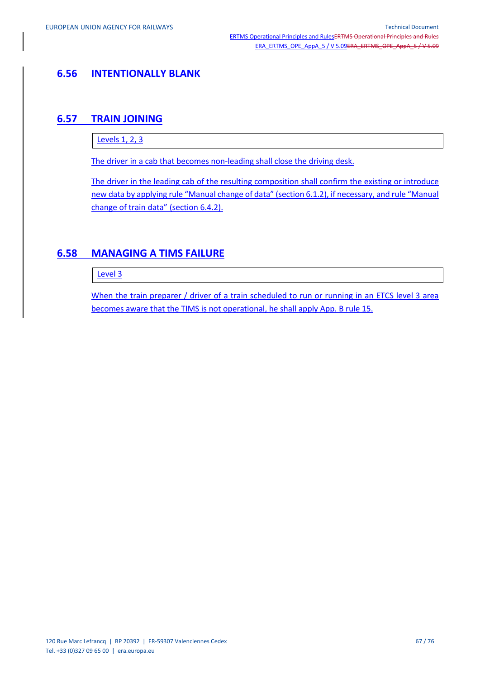## **6.56 INTENTIONALLY BLANK**

## **6.57 TRAIN JOINING**

Levels 1, 2, 3

The driver in a cab that becomes non-leading shall close the driving desk.

The driver in the leading cab of the resulting composition shall confirm the existing or introduce new data by applying rule "Manual change of data" (section 6.1.2), if necessary, and rule "Manual change of train data" (section 6.4.2).

## **6.58 MANAGING A TIMS FAILURE**

Level 3

When the train preparer / driver of a train scheduled to run or running in an ETCS level 3 area becomes aware that the TIMS is not operational, he shall apply App. B rule 15.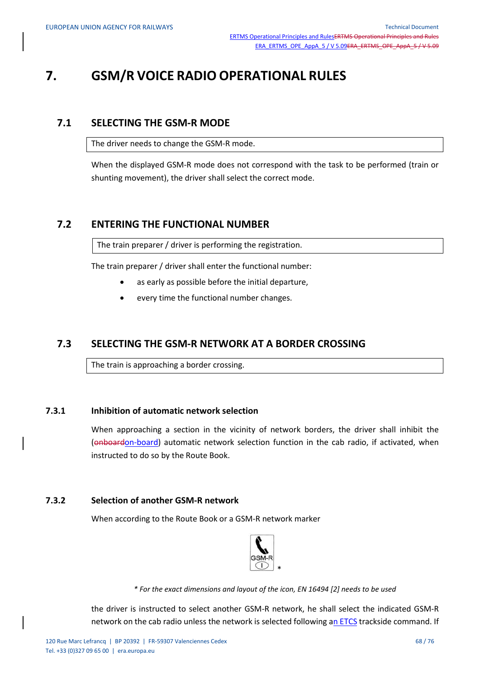# **7. GSM/R VOICE RADIO OPERATIONAL RULES**

### **7.1 SELECTING THE GSM-R MODE**

The driver needs to change the GSM-R mode.

When the displayed GSM-R mode does not correspond with the task to be performed (train or shunting movement), the driver shall select the correct mode.

### **7.2 ENTERING THE FUNCTIONAL NUMBER**

The train preparer / driver is performing the registration.

The train preparer / driver shall enter the functional number:

- as early as possible before the initial departure,
- every time the functional number changes.

### **7.3 SELECTING THE GSM-R NETWORK AT A BORDER CROSSING**

The train is approaching a border crossing.

#### **7.3.1 Inhibition of automatic network selection**

When approaching a section in the vicinity of network borders, the driver shall inhibit the (onboardon-board) automatic network selection function in the cab radio, if activated, when instructed to do so by the Route Book.

#### **7.3.2 Selection of another GSM-R network**

When according to the Route Book or a GSM-R network marker



*\* For the exact dimensions and layout of the icon, EN 16494 [2] needs to be used*

the driver is instructed to select another GSM-R network, he shall select the indicated GSM-R network on the cab radio unless the network is selected following an ETCS trackside command. If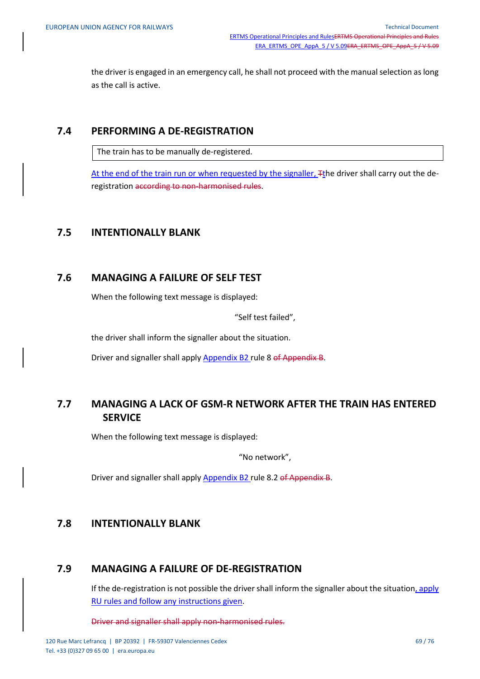the driver is engaged in an emergency call, he shall not proceed with the manual selection as long as the call is active.

### **7.4 PERFORMING A DE-REGISTRATION**

The train has to be manually de-registered.

At the end of the train run or when requested by the signaller, Tthe driver shall carry out the deregistration according to non-harmonised rules.

### **7.5 INTENTIONALLY BLANK**

### **7.6 MANAGING A FAILURE OF SELF TEST**

When the following text message is displayed:

"Self test failed",

the driver shall inform the signaller about the situation.

Driver and signaller shall apply Appendix B2 rule 8 of Appendix B.

## **7.7 MANAGING A LACK OF GSM-R NETWORK AFTER THE TRAIN HAS ENTERED SERVICE**

When the following text message is displayed:

"No network",

Driver and signaller shall apply Appendix B2 rule 8.2 of Appendix B.

### **7.8 INTENTIONALLY BLANK**

## **7.9 MANAGING A FAILURE OF DE-REGISTRATION**

If the de-registration is not possible the driver shall inform the signaller about the situation, apply RU rules and follow any instructions given.

Driver and signaller shall apply non-harmonised rules.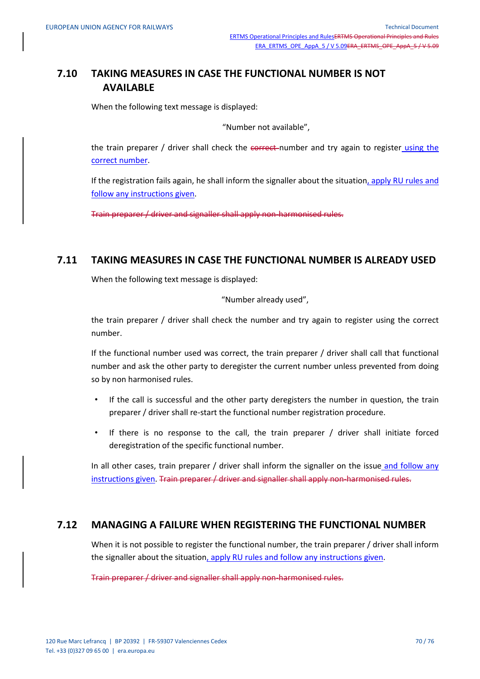## **7.10 TAKING MEASURES IN CASE THE FUNCTIONAL NUMBER IS NOT AVAILABLE**

When the following text message is displayed:

"Number not available",

the train preparer / driver shall check the correct-number and try again to register using the correct number.

If the registration fails again, he shall inform the signaller about the situation, apply RU rules and follow any instructions given.

Train preparer / driver and signaller shall apply non-harmonised rules.

### **7.11 TAKING MEASURES IN CASE THE FUNCTIONAL NUMBER IS ALREADY USED**

When the following text message is displayed:

"Number already used",

the train preparer / driver shall check the number and try again to register using the correct number.

If the functional number used was correct, the train preparer / driver shall call that functional number and ask the other party to deregister the current number unless prevented from doing so by non harmonised rules.

- If the call is successful and the other party deregisters the number in question, the train preparer / driver shall re-start the functional number registration procedure.
- If there is no response to the call, the train preparer / driver shall initiate forced deregistration of the specific functional number.

In all other cases, train preparer  $/$  driver shall inform the signaller on the issue and follow any instructions given. Train preparer / driver and signaller shall apply non-harmonised rules.

### **7.12 MANAGING A FAILURE WHEN REGISTERING THE FUNCTIONAL NUMBER**

When it is not possible to register the functional number, the train preparer / driver shall inform the signaller about the situation, apply RU rules and follow any instructions given.

Train preparer / driver and signaller shall apply non-harmonised rules.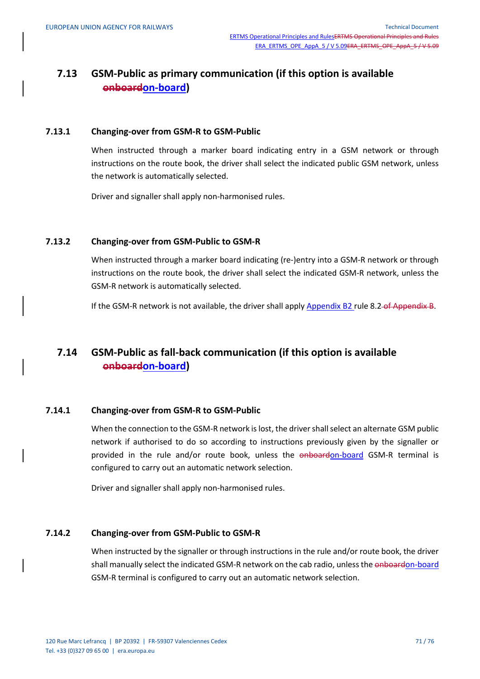## **7.13 GSM-Public as primary communication (if this option is available onboardon-board)**

#### **7.13.1 Changing-over from GSM-R to GSM-Public**

When instructed through a marker board indicating entry in a GSM network or through instructions on the route book, the driver shall select the indicated public GSM network, unless the network is automatically selected.

Driver and signaller shall apply non-harmonised rules.

#### **7.13.2 Changing-over from GSM-Public to GSM-R**

When instructed through a marker board indicating (re-)entry into a GSM-R network or through instructions on the route book, the driver shall select the indicated GSM-R network, unless the GSM-R network is automatically selected.

If the GSM-R network is not available, the driver shall apply Appendix B2 rule 8.2-of Appendix B.

## **7.14 GSM-Public as fall-back communication (if this option is available onboardon-board)**

#### **7.14.1 Changing-over from GSM-R to GSM-Public**

When the connection to the GSM-R network is lost, the driver shall select an alternate GSM public network if authorised to do so according to instructions previously given by the signaller or provided in the rule and/or route book, unless the onboardon-board GSM-R terminal is configured to carry out an automatic network selection.

Driver and signaller shall apply non-harmonised rules.

#### **7.14.2 Changing-over from GSM-Public to GSM-R**

When instructed by the signaller or through instructions in the rule and/or route book, the driver shall manually select the indicated GSM-R network on the cab radio, unless the onboardon-board GSM-R terminal is configured to carry out an automatic network selection.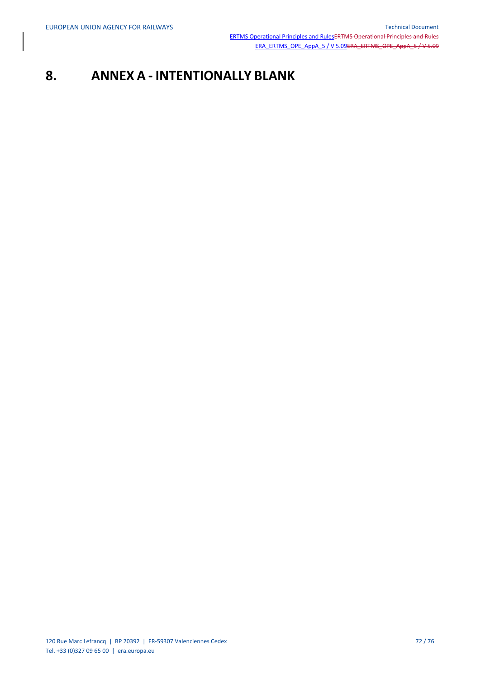# **8. ANNEX A - INTENTIONALLY BLANK**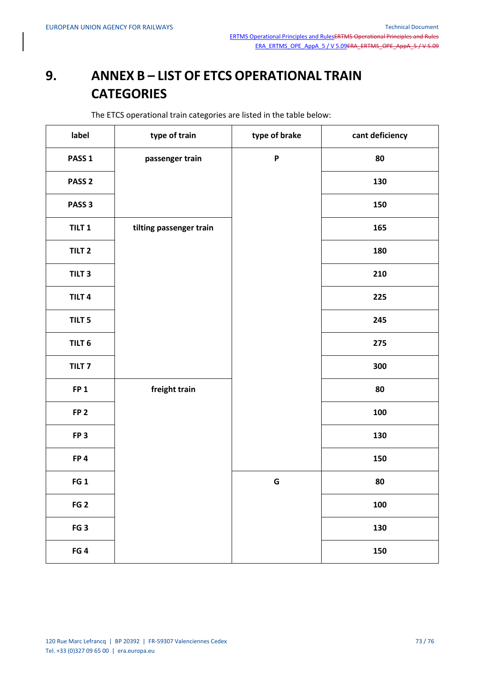## **9. ANNEX B – LIST OF ETCS OPERATIONAL TRAIN CATEGORIES**

The ETCS operational train categories are listed in the table below:

| label             | type of train           | type of brake             | cant deficiency |
|-------------------|-------------------------|---------------------------|-----------------|
| PASS <sub>1</sub> | passenger train         | $\boldsymbol{\mathsf{P}}$ | 80              |
| PASS <sub>2</sub> |                         |                           | 130             |
| PASS <sub>3</sub> |                         |                           | 150             |
| TILT <sub>1</sub> | tilting passenger train |                           | 165             |
| TILT <sub>2</sub> |                         |                           | 180             |
| TILT <sub>3</sub> |                         |                           | 210             |
| TILT <sub>4</sub> |                         |                           | 225             |
| TILT <sub>5</sub> |                         |                           | 245             |
| TILT <sub>6</sub> |                         |                           | 275             |
| TILT <sub>7</sub> |                         |                           | 300             |
| FP <sub>1</sub>   | freight train           |                           | 80              |
| FP <sub>2</sub>   |                         |                           | 100             |
| FP <sub>3</sub>   |                         |                           | 130             |
| FP4               |                         |                           | 150             |
| FG <sub>1</sub>   |                         | G                         | 80              |
| FG <sub>2</sub>   |                         |                           | 100             |
| FG <sub>3</sub>   |                         |                           | 130             |
| FG <sub>4</sub>   |                         |                           | 150             |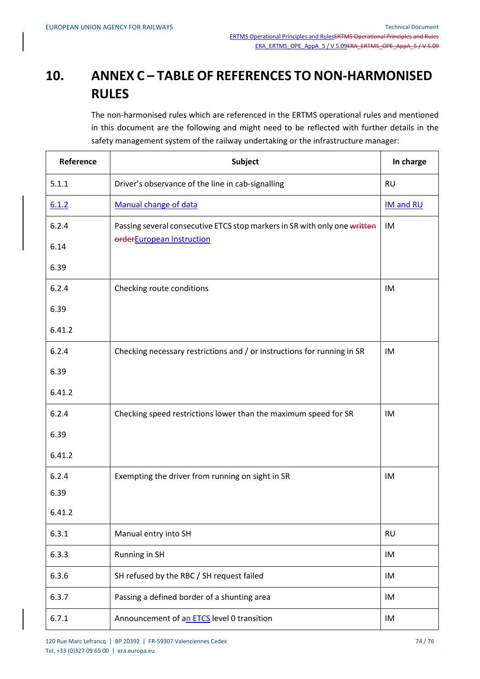## **10. ANNEX C – TABLE OF REFERENCES TO NON-HARMONISED RULES**

The non-harmonised rules which are referenced in the ERTMS operational rules and mentioned in this document are the following and might need to be reflected with further details in the safety management system of the railway undertaking or the infrastructure manager:

| Reference | Subject                                                                   | In charge        |
|-----------|---------------------------------------------------------------------------|------------------|
| 5.1.1     | Driver's observance of the line in cab-signalling                         | <b>RU</b>        |
| 6.1.2     | Manual change of data                                                     | <b>IM and RU</b> |
| 6.2.4     | Passing several consecutive ETCS stop markers in SR with only one written | IM               |
| 6.14      | orderEuropean Instruction                                                 |                  |
| 6.39      |                                                                           |                  |
| 6.2.4     | Checking route conditions                                                 | IM               |
| 6.39      |                                                                           |                  |
| 6.41.2    |                                                                           |                  |
| 6.2.4     | Checking necessary restrictions and / or instructions for running in SR   | IM               |
| 6.39      |                                                                           |                  |
| 6.41.2    |                                                                           |                  |
| 6.2.4     | Checking speed restrictions lower than the maximum speed for SR           | IM               |
| 6.39      |                                                                           |                  |
| 6.41.2    |                                                                           |                  |
| 6.2.4     | Exempting the driver from running on sight in SR                          | IM               |
| 6.39      |                                                                           |                  |
| 6.41.2    |                                                                           |                  |
| 6.3.1     | Manual entry into SH                                                      | <b>RU</b>        |
| 6.3.3     | Running in SH                                                             | IM               |
| 6.3.6     | SH refused by the RBC / SH request failed                                 | IM               |
| 6.3.7     | Passing a defined border of a shunting area                               | IM               |
| 6.7.1     | Announcement of an ETCS level 0 transition                                | IM               |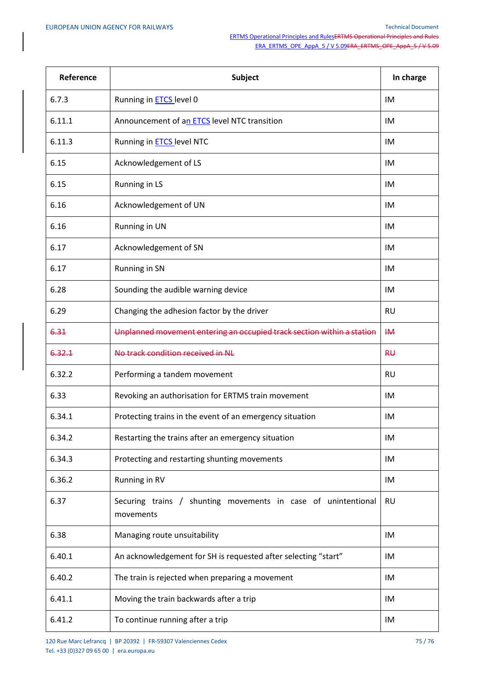| Reference | <b>Subject</b>                                                             | In charge |
|-----------|----------------------------------------------------------------------------|-----------|
| 6.7.3     | Running in <b>ETCS</b> level 0                                             | IM        |
| 6.11.1    | Announcement of an ETCS level NTC transition                               | IM        |
| 6.11.3    | Running in <b>ETCS</b> level NTC                                           | IM        |
| 6.15      | Acknowledgement of LS                                                      | IM        |
| 6.15      | Running in LS                                                              | IM        |
| 6.16      | Acknowledgement of UN                                                      | IM        |
| 6.16      | Running in UN                                                              | IM        |
| 6.17      | Acknowledgement of SN                                                      | IM        |
| 6.17      | Running in SN                                                              | IM        |
| 6.28      | Sounding the audible warning device                                        | IM        |
| 6.29      | Changing the adhesion factor by the driver                                 | <b>RU</b> |
| 6.31      | Unplanned movement entering an occupied track section within a station     | $H\!M$    |
| 6.32.1    | No track condition received in NL                                          | RU        |
| 6.32.2    | Performing a tandem movement                                               | <b>RU</b> |
| 6.33      | Revoking an authorisation for ERTMS train movement                         | IM        |
| 6.34.1    | Protecting trains in the event of an emergency situation                   | IM        |
| 6.34.2    | Restarting the trains after an emergency situation                         | IM        |
| 6.34.3    | Protecting and restarting shunting movements                               | IM        |
| 6.36.2    | Running in RV                                                              | IM        |
| 6.37      | Securing trains / shunting movements in case of unintentional<br>movements | <b>RU</b> |
| 6.38      | Managing route unsuitability                                               | IM        |
| 6.40.1    | An acknowledgement for SH is requested after selecting "start"             | IM        |
| 6.40.2    | The train is rejected when preparing a movement                            | IM        |
| 6.41.1    | Moving the train backwards after a trip                                    | IM        |
| 6.41.2    | To continue running after a trip                                           | IM        |